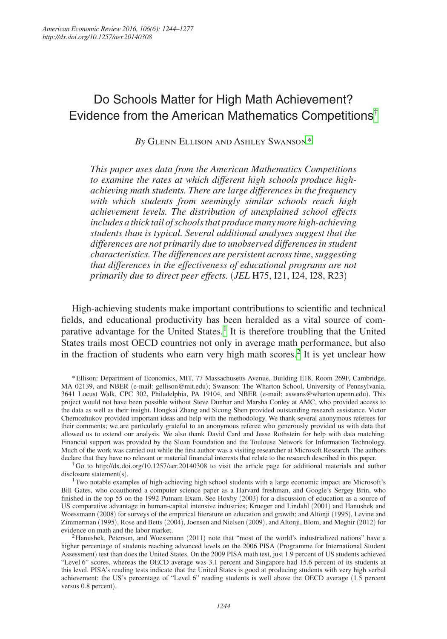# Do Schools Matter for High Math Achievement? Evidence from the American Mathematics Competitions[†](#page-0-0)

*By* Glenn Ellison and Ashley Swanson\*

*This paper uses data from the American Mathematics Competitions to examine the rates at which different high schools produce highachieving math students. There are large differences in the frequency with which students from seemingly similar schools reach high achievement levels. The distribution of unexplained school effects includes a thick tail of schools that produce many more high-achieving students than is typical. Several additional analyses suggest that the differences are not primarily due to unobserved differences in student characteristics. The differences are persistent across time*, *suggesting that differences in the effectiveness of educational programs are not primarily due to direct peer effects.* (*JEL* H75, I21, I24, I28, R23)

High-achieving students make important contributions to scientific and technical fields, and educational productivity has been heralded as a vital source of com-parative advantage for the United States.<sup>[1](#page-0-1)</sup> It is therefore troubling that the United States trails most OECD countries not only in average math performance, but also in the fraction of students who earn very high math scores.<sup>[2](#page-0-2)</sup> It is yet unclear how

<span id="page-0-0"></span>†Go to http://dx.doi.org/10.1257/aer.20140308 to visit the article page for additional materials and author disclosure statement(s).

<span id="page-0-1"></span><sup>1</sup>Two notable examples of high-achieving high school students with a large economic impact are Microsoft's Bill Gates, who coauthored a computer science paper as a Harvard freshman, and Google's Sergey Brin, who finished in the top 55 on the 1992 Putnam Exam. See Hoxby (2003) for a discussion of education as a source of US comparative advantage in human-capital intensive industries; Krueger and Lindahl (2001) and Hanushek and Woessmann (2008) for surveys of the empirical literature on education and growth; and Altonji (1995), Levine and Zimmerman (1995), Rose and Betts (2004), Joensen and Nielsen (2009), and Altonji, Blom, and Meghir (2012) for

<span id="page-0-2"></span><sup>2</sup> Hanushek, Peterson, and Woessmann (2011) note that "most of the world's industrialized nations" have a higher percentage of students reaching advanced levels on the 2006 PISA (Programme for International Student Assessment) test than does the United States. On the 2009 PISA math test, just 1.9 percent of US students achieved "Level 6" scores, whereas the OECD average was 3.1 percent and Singapore had 15.6 percent of its students at this level. PISA's reading tests indicate that the United States is good at producing students with very high verbal achievement: the US's percentage of "Level 6" reading students is well above the OECD average (1.5 percent versus 0.8 percent).

<sup>\*</sup>Ellison: Department of Economics, MIT, 77 Massachusetts Avenue, Building E18, Room 269F, Cambridge, MA 02139, and NBER (e-mail: gellison@mit.edu); Swanson: The Wharton School, University of Pennsylvania, 3641 Locust Walk, CPC 302, Philadelphia, PA 19104, and NBER (e-mail: aswans@wharton.upenn.edu). This project would not have been possible without Steve Dunbar and Marsha Conley at AMC, who provided access to the data as well as their insight. Hongkai Zhang and Sicong Shen provided outstanding research assistance. Victor Chernozhukov provided important ideas and help with the methodology. We thank several anonymous referees for their comments; we are particularly grateful to an anonymous referee who generously provided us with data that allowed us to extend our analysis. We also thank David Card and Jesse Rothstein for help with data matching. Financial support was provided by the Sloan Foundation and the Toulouse Network for Information Technology. Much of the work was carried out while the first author was a visiting researcher at Microsoft Research. The authors declare that they have no relevant or material financial interests that relate to the research described in this paper.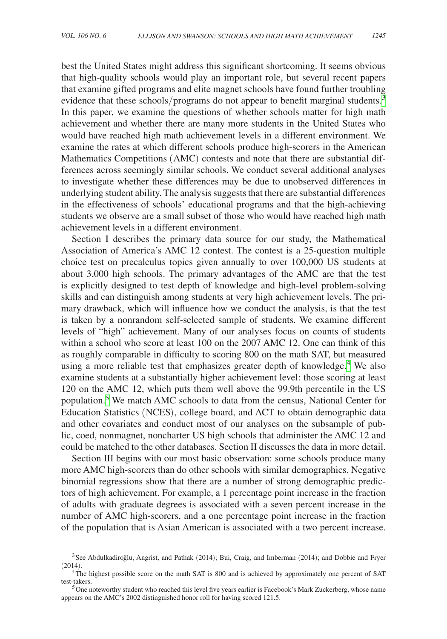best the United States might address this significant shortcoming. It seems obvious that high-quality schools would play an important role, but several recent papers that examine gifted programs and elite magnet schools have found further troubling evidence that these schools/programs do not appear to benefit marginal students.<sup>[3](#page-1-0)</sup> In this paper, we examine the questions of whether schools matter for high math achievement and whether there are many more students in the United States who would have reached high math achievement levels in a different environment. We examine the rates at which different schools produce high-scorers in the American Mathematics Competitions (AMC) contests and note that there are substantial differences across seemingly similar schools. We conduct several additional analyses to investigate whether these differences may be due to unobserved differences in underlying student ability. The analysis suggests that there are substantial differences in the effectiveness of schools' educational programs and that the high-achieving students we observe are a small subset of those who would have reached high math achievement levels in a different environment.

Section I describes the primary data source for our study, the Mathematical Association of America's AMC 12 contest. The contest is a 25-question multiple choice test on precalculus topics given annually to over 100,000 US students at about 3,000 high schools. The primary advantages of the AMC are that the test is explicitly designed to test depth of knowledge and high-level problem-solving skills and can distinguish among students at very high achievement levels. The primary drawback, which will influence how we conduct the analysis, is that the test is taken by a nonrandom self-selected sample of students. We examine different levels of "high" achievement. Many of our analyses focus on counts of students within a school who score at least 100 on the 2007 AMC 12. One can think of this as roughly comparable in difficulty to scoring 800 on the math SAT, but measured using a more reliable test that emphasizes greater depth of knowledge.<sup>[4](#page-1-1)</sup> We also examine students at a substantially higher achievement level: those scoring at least 120 on the AMC 12, which puts them well above the 99.9th percentile in the US population.<sup>[5](#page-1-2)</sup> We match AMC schools to data from the census, National Center for Education Statistics (NCES), college board, and ACT to obtain demographic data and other covariates and conduct most of our analyses on the subsample of public, coed, nonmagnet, noncharter US high schools that administer the AMC 12 and could be matched to the other databases. Section II discusses the data in more detail.

Section III begins with our most basic observation: some schools produce many more AMC high-scorers than do other schools with similar demographics. Negative binomial regressions show that there are a number of strong demographic predictors of high achievement. For example, a 1 percentage point increase in the fraction of adults with graduate degrees is associated with a seven percent increase in the number of AMC high-scorers, and a one percentage point increase in the fraction of the population that is Asian American is associated with a two percent increase.

<span id="page-1-0"></span> $3$ See Abdulkadiroğlu, Angrist, and Pathak (2014); Bui, Craig, and Imberman (2014); and Dobbie and Fryer (2014).

<span id="page-1-1"></span> $4\text{The highest possible score on the math SAT is } 800 \text{ and is achieved by approximately one percent of SAT test-takers.}$ 

<span id="page-1-2"></span> $5$  One noteworthy student who reached this level five years earlier is Facebook's Mark Zuckerberg, whose name appears on the AMC's 2002 distinguished honor roll for having scored 121.5.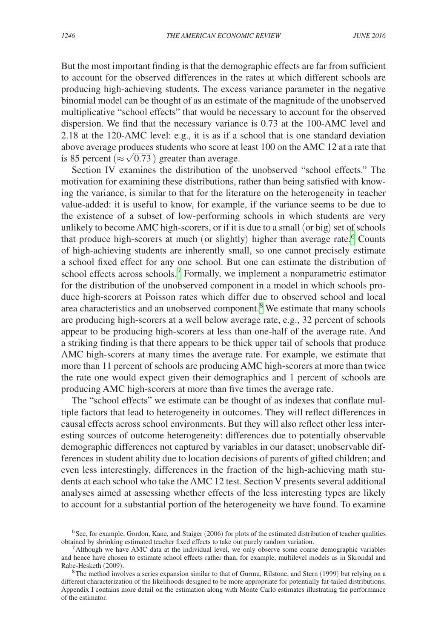But the most important finding is that the demographic effects are far from sufficient to account for the observed differences in the rates at which different schools are producing high-achieving students. The excess variance parameter in the negative binomial model can be thought of as an estimate of the magnitude of the unobserved multiplicative "school effects" that would be necessary to account for the observed dispersion. We find that the necessary variance is 0.73 at the 100-AMC level and 2.18 at the 120-AMC level: e.g., it is as if a school that is one standard deviation above average produces students who score at least 100 on the AMC 12 at a rate that is 85 percent ( $\approx \sqrt{0.73}$ ) greater than average. vic 1<br>duces<br> $\frac{0.73}{0.73}$ 

Section IV examines the distribution of the unobserved "school effects." The motivation for examining these distributions, rather than being satisfied with knowing the variance, is similar to that for the literature on the heterogeneity in teacher value-added: it is useful to know, for example, if the variance seems to be due to the existence of a subset of low-performing schools in which students are very unlikely to become AMC high-scorers, or if it is due to a small (or big) set of schools that produce high-scorers at much (or slightly) higher than average rate.<sup>[6](#page-2-0)</sup> Counts of high-achieving students are inherently small, so one cannot precisely estimate a school fixed effect for any one school. But one can estimate the distribution of school effects across schools.<sup>[7](#page-2-1)</sup> Formally, we implement a nonparametric estimator for the distribution of the unobserved component in a model in which schools produce high-scorers at Poisson rates which differ due to observed school and local area characteristics and an unobserved component.<sup>[8](#page-2-2)</sup> We estimate that many schools are producing high-scorers at a well below average rate, e.g., 32 percent of schools appear to be producing high-scorers at less than one-half of the average rate. And a striking finding is that there appears to be thick upper tail of schools that produce AMC high-scorers at many times the average rate. For example, we estimate that more than 11 percent of schools are producing AMC high-scorers at more than twice the rate one would expect given their demographics and 1 percent of schools are producing AMC high-scorers at more than five times the average rate.

The "school effects" we estimate can be thought of as indexes that conflate multiple factors that lead to heterogeneity in outcomes. They will reflect differences in causal effects across school environments. But they will also reflect other less interesting sources of outcome heterogeneity: differences due to potentially observable demographic differences not captured by variables in our dataset; unobservable differences in student ability due to location decisions of parents of gifted children; and even less interestingly, differences in the fraction of the high-achieving math students at each school who take the AMC 12 test. Section V presents several additional analyses aimed at assessing whether effects of the less interesting types are likely to account for a substantial portion of the heterogeneity we have found. To examine

<span id="page-2-0"></span> $6$ See, for example, Gordon, Kane, and Staiger (2006) for plots of the estimated distribution of teacher qualities obtained by shrinking estimated teacher fixed effects to take out purely random variation.

<span id="page-2-1"></span><sup>&</sup>lt;sup>7</sup> Although we have AMC data at the individual level, we only observe some coarse demographic variables and hence have chosen to estimate school effects rather than, for example, multilevel models as in Skrondal and Rabe-Hesketh (2009).

<span id="page-2-2"></span> ${}^8$ The method involves a series expansion similar to that of Gurmu, Rilstone, and Stern (1999) but relying on a different characterization of the likelihoods designed to be more appropriate for potentially fat-tailed distributions. Appendix I contains more detail on the estimation along with Monte Carlo estimates illustrating the performance of the estimator.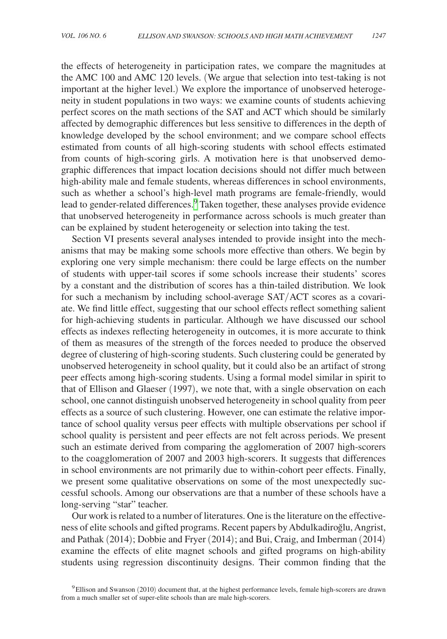the effects of heterogeneity in participation rates, we compare the magnitudes at the AMC 100 and AMC 120 levels. (We argue that selection into test-taking is not important at the higher level.) We explore the importance of unobserved heterogeneity in student populations in two ways: we examine counts of students achieving perfect scores on the math sections of the SAT and ACT which should be similarly affected by demographic differences but less sensitive to differences in the depth of knowledge developed by the school environment; and we compare school effects estimated from counts of all high-scoring students with school effects estimated from counts of high-scoring girls. A motivation here is that unobserved demographic differences that impact location decisions should not differ much between high-ability male and female students, whereas differences in school environments, such as whether a school's high-level math programs are female-friendly, would lead to gender-related differences.<sup>[9](#page-3-0)</sup> Taken together, these analyses provide evidence that unobserved heterogeneity in performance across schools is much greater than can be explained by student heterogeneity or selection into taking the test.

Section VI presents several analyses intended to provide insight into the mechanisms that may be making some schools more effective than others. We begin by exploring one very simple mechanism: there could be large effects on the number of students with upper-tail scores if some schools increase their students' scores by a constant and the distribution of scores has a thin-tailed distribution. We look for such a mechanism by including school-average SAT/ACT scores as a covariate. We find little effect, suggesting that our school effects reflect something salient for high-achieving students in particular. Although we have discussed our school effects as indexes reflecting heterogeneity in outcomes, it is more accurate to think of them as measures of the strength of the forces needed to produce the observed degree of clustering of high-scoring students. Such clustering could be generated by unobserved heterogeneity in school quality, but it could also be an artifact of strong peer effects among high-scoring students. Using a formal model similar in spirit to that of Ellison and Glaeser (1997), we note that, with a single observation on each school, one cannot distinguish unobserved heterogeneity in school quality from peer effects as a source of such clustering. However, one can estimate the relative importance of school quality versus peer effects with multiple observations per school if school quality is persistent and peer effects are not felt across periods. We present such an estimate derived from comparing the agglomeration of 2007 high-scorers to the coagglomeration of 2007 and 2003 high-scorers. It suggests that differences in school environments are not primarily due to within-cohort peer effects. Finally, we present some qualitative observations on some of the most unexpectedly successful schools. Among our observations are that a number of these schools have a long-serving "star" teacher.

Our work is related to a number of literatures. One is the literature on the effectiveness of elite schools and gifted programs. Recent papers by Abdulkadiroğlu, Angrist, and Pathak (2014); Dobbie and Fryer (2014); and Bui, Craig, and Imberman (2014) examine the effects of elite magnet schools and gifted programs on high-ability students using regression discontinuity designs. Their common finding that the

<span id="page-3-0"></span><sup>9</sup>Ellison and Swanson (2010) document that, at the highest performance levels, female high-scorers are drawn from a much smaller set of super-elite schools than are male high-scorers.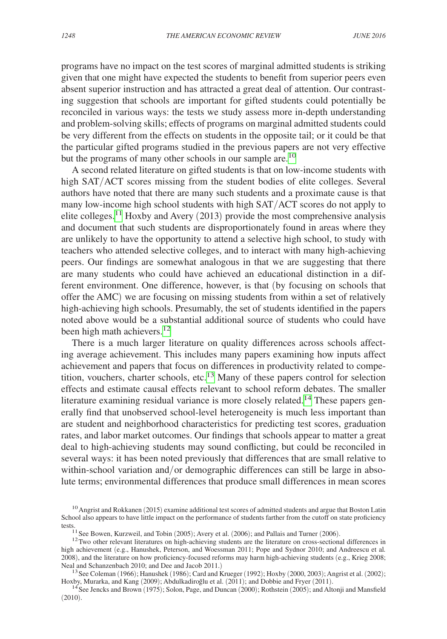programs have no impact on the test scores of marginal admitted students is striking given that one might have expected the students to benefit from superior peers even absent superior instruction and has attracted a great deal of attention. Our contrasting suggestion that schools are important for gifted students could potentially be reconciled in various ways: the tests we study assess more in-depth understanding and problem-solving skills; effects of programs on marginal admitted students could be very different from the effects on students in the opposite tail; or it could be that the particular gifted programs studied in the previous papers are not very effective but the programs of many other schools in our sample are.<sup>[10](#page-4-0)</sup>

A second related literature on gifted students is that on low-income students with high SAT/ACT scores missing from the student bodies of elite colleges. Several authors have noted that there are many such students and a proximate cause is that many low-income high school students with high SAT/ACT scores do not apply to elite colleges.<sup>[11](#page-4-1)</sup> Hoxby and Avery (2013) provide the most comprehensive analysis and document that such students are disproportionately found in areas where they are unlikely to have the opportunity to attend a selective high school, to study with teachers who attended selective colleges, and to interact with many high-achieving peers. Our findings are somewhat analogous in that we are suggesting that there are many students who could have achieved an educational distinction in a different environment. One difference, however, is that (by focusing on schools that offer the AMC) we are focusing on missing students from within a set of relatively high-achieving high schools. Presumably, the set of students identified in the papers noted above would be a substantial additional source of students who could have been high math achievers.<sup>12</sup>

There is a much larger literature on quality differences across schools affecting average achievement. This includes many papers examining how inputs affect achievement and papers that focus on differences in productivity related to competition, vouchers, charter schools, etc.[13](#page-4-3) Many of these papers control for selection effects and estimate causal effects relevant to school reform debates. The smaller literature examining residual variance is more closely related.<sup>[14](#page-4-4)</sup> These papers generally find that unobserved school-level heterogeneity is much less important than are student and neighborhood characteristics for predicting test scores, graduation rates, and labor market outcomes. Our findings that schools appear to matter a great deal to high-achieving students may sound conflicting, but could be reconciled in several ways: it has been noted previously that differences that are small relative to within-school variation and/or demographic differences can still be large in absolute terms; environmental differences that produce small differences in mean scores

<span id="page-4-0"></span><sup>&</sup>lt;sup>10</sup> Angrist and Rokkanen (2015) examine additional test scores of admitted students and argue that Boston Latin School also appears to have little impact on the performance of students farther from the cutoff on state proficiency tests.<br><sup>11</sup>See Bowen, Kurzweil, and Tobin (2005); Avery et al. (2006); and Pallais and Turner (2006).<br><sup>12</sup>Two other relevant literatures on high-achieving students are the literature on cross-sectional differences in

<span id="page-4-2"></span><span id="page-4-1"></span>

high achievement (e.g., Hanushek, Peterson, and Woessman 2011; Pope and Sydnor 2010; and Andreescu et al*.* 2008), and the literature on how proficiency-focused reforms may harm high-achieving students (e.g., Krieg 2008;

<span id="page-4-3"></span><sup>&</sup>lt;sup>13</sup> See Coleman (1966); Hanushek (1986); Card and Krueger (1992); Hoxby (2000, 2003); Angrist et al. (2002); Hoxby Murarka, and Kang (2009); Abdulkadiroğlu et al. (2011); and Dobbie and Fryer (2011).

<span id="page-4-4"></span><sup>&</sup>lt;sup>14</sup>See Jencks and Brown (1975); Solon, Page, and Duncan (2000); Rothstein (2005); and Altonji and Mansfield (2010).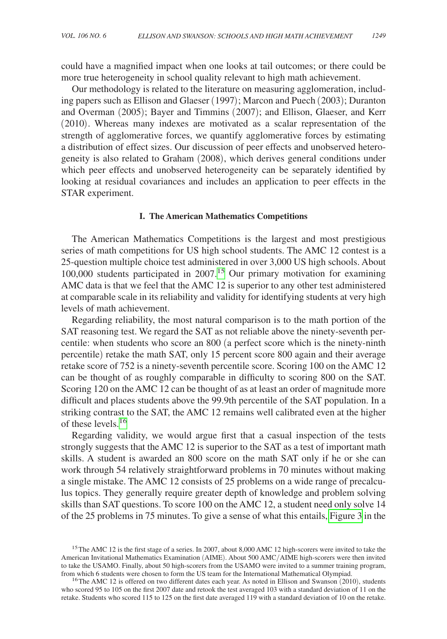could have a magnified impact when one looks at tail outcomes; or there could be more true heterogeneity in school quality relevant to high math achievement.

Our methodology is related to the literature on measuring agglomeration, including papers such as Ellison and Glaeser (1997); Marcon and Puech (2003); Duranton and Overman (2005); Bayer and Timmins (2007); and Ellison, Glaeser, and Kerr (2010). Whereas many indexes are motivated as a scalar representation of the strength of agglomerative forces, we quantify agglomerative forces by estimating a distribution of effect sizes. Our discussion of peer effects and unobserved heterogeneity is also related to Graham (2008), which derives general conditions under which peer effects and unobserved heterogeneity can be separately identified by looking at residual covariances and includes an application to peer effects in the STAR experiment.

#### **I. The American Mathematics Competitions**

The American Mathematics Competitions is the largest and most prestigious series of math competitions for US high school students. The AMC 12 contest is a 25-question multiple choice test administered in over 3,000 US high schools. About  $100,000$  students participated in  $2007<sup>15</sup>$  Our primary motivation for examining AMC data is that we feel that the AMC 12 is superior to any other test administered at comparable scale in its reliability and validity for identifying students at very high levels of math achievement.

Regarding reliability, the most natural comparison is to the math portion of the SAT reasoning test. We regard the SAT as not reliable above the ninety-seventh percentile: when students who score an 800 (a perfect score which is the ninety-ninth percentile) retake the math SAT, only 15 percent score 800 again and their average retake score of 752 is a ninety-seventh percentile score. Scoring 100 on the AMC 12 can be thought of as roughly comparable in difficulty to scoring 800 on the SAT. Scoring 120 on the AMC 12 can be thought of as at least an order of magnitude more difficult and places students above the 99.9th percentile of the SAT population. In a striking contrast to the SAT, the AMC 12 remains well calibrated even at the higher of these levels.<sup>[16](#page-5-1)</sup>

Regarding validity, we would argue first that a casual inspection of the tests strongly suggests that the AMC 12 is superior to the SAT as a test of important math skills. A student is awarded an 800 score on the math SAT only if he or she can work through 54 relatively straightforward problems in 70 minutes without making a single mistake. The AMC 12 consists of 25 problems on a wide range of precalculus topics. They generally require greater depth of knowledge and problem solving skills than SAT questions. To score 100 on the AMC 12, a student need only solve 14 of the 25 problems in 75 minutes. To give a sense of what this entails, [Figure 3](#page-30-0) in the

<span id="page-5-0"></span><sup>&</sup>lt;sup>15</sup>The AMC 12 is the first stage of a series. In 2007, about 8,000 AMC 12 high-scorers were invited to take the American Invitational Mathematics Examination (AIME). About 500 AMC/AIME high-scorers were then invited to take the USAMO. Finally, about 50 high-scorers from the USAMO were invited to a summer training program, from which 6 students were chosen to form the US team for the International Mathematical Olympiad.

<span id="page-5-1"></span><sup>&</sup>lt;sup>16</sup> The AMC 12 is offered on two different dates each year. As noted in Ellison and Swanson (2010), students who scored 95 to 105 on the first 2007 date and retook the test averaged 103 with a standard deviation of 11 on the retake. Students who scored 115 to 125 on the first date averaged 119 with a standard deviation of 10 on the retake.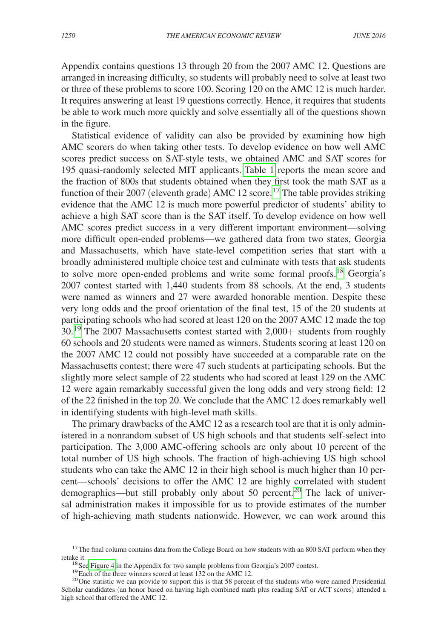Appendix contains questions 13 through 20 from the 2007 AMC 12. Questions are arranged in increasing difficulty, so students will probably need to solve at least two or three of these problems to score 100. Scoring 120 on the AMC 12 is much harder. It requires answering at least 19 questions correctly. Hence, it requires that students be able to work much more quickly and solve essentially all of the questions shown in the figure.

Statistical evidence of validity can also be provided by examining how high AMC scorers do when taking other tests. To develop evidence on how well AMC scores predict success on SAT-style tests, we obtained AMC and SAT scores for 195 quasi-randomly selected MIT applicants. [Table 1](#page-7-0) reports the mean score and the fraction of 800s that students obtained when they first took the math SAT as a function of their 2007 (eleventh grade) AMC 12 score.<sup>17</sup> The table provides striking evidence that the AMC 12 is much more powerful predictor of students' ability to achieve a high SAT score than is the SAT itself. To develop evidence on how well AMC scores predict success in a very different important environment—solving more difficult open-ended problems—we gathered data from two states, Georgia and Massachusetts, which have state-level competition series that start with a broadly administered multiple choice test and culminate with tests that ask students to solve more open-ended problems and write some formal proofs.<sup>18</sup> Georgia's 2007 contest started with 1,440 students from 88 schools. At the end, 3 students were named as winners and 27 were awarded honorable mention. Despite these very long odds and the proof orientation of the final test, 15 of the 20 students at participating schools who had scored at least 120 on the 2007 AMC 12 made the top 30.<sup>19</sup> The 2007 Massachusetts contest started with 2,000+ students from roughly 60 schools and 20 students were named as winners. Students scoring at least 120 on the 2007 AMC 12 could not possibly have succeeded at a comparable rate on the Massachusetts contest; there were 47 such students at participating schools. But the slightly more select sample of 22 students who had scored at least 129 on the AMC 12 were again remarkably successful given the long odds and very strong field: 12 of the 22 finished in the top 20. We conclude that the AMC 12 does remarkably well in identifying students with high-level math skills.

The primary drawbacks of the AMC 12 as a research tool are that it is only administered in a nonrandom subset of US high schools and that students self-select into participation. The 3,000 AMC-offering schools are only about 10 percent of the total number of US high schools. The fraction of high-achieving US high school students who can take the AMC 12 in their high school is much higher than 10 percent—schools' decisions to offer the AMC 12 are highly correlated with student demographics—but still probably only about 50 percent.<sup>20</sup> The lack of universal administration makes it impossible for us to provide estimates of the number of high-achieving math students nationwide. However, we can work around this

<span id="page-6-0"></span> $17$ The final column contains data from the College Board on how students with an 800 SAT perform when they retake it.<br><sup>18</sup> Se[e Figure 4](#page-30-0) in the Appendix for two sample problems from Georgia's 2007 contest.<br><sup>19</sup> Each of the three winners scored at least 132 on the AMC 12.<br><sup>20</sup> One statistic we can provide to support this is that

<span id="page-6-1"></span>

<span id="page-6-3"></span><span id="page-6-2"></span>

Scholar candidates (an honor based on having high combined math plus reading SAT or ACT scores) attended a high school that offered the AMC 12.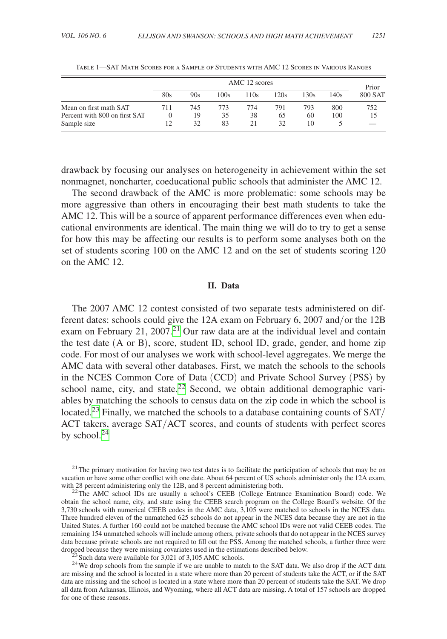<span id="page-7-0"></span>

|                               | AMC 12 scores |     |      |      |      |      | Prior |         |
|-------------------------------|---------------|-----|------|------|------|------|-------|---------|
|                               | 80s           | 90s | 100s | 110s | 120s | 130s | 140s  | 800 SAT |
| Mean on first math SAT        | 711           | 745 | 773  | 774  | 791  | 793  | 800   | 752     |
| Percent with 800 on first SAT |               | 19  | 35   | 38   | 65   | 60   | 100   | 15      |
| Sample size                   |               | 32  | 83   | 21   | 32.  | 10   |       |         |

Table 1—SAT Math Scores for a Sample of Students with AMC 12 Scores in Various Ranges

drawback by focusing our analyses on heterogeneity in achievement within the set nonmagnet, noncharter, coeducational public schools that administer the AMC 12.

The second drawback of the AMC is more problematic: some schools may be more aggressive than others in encouraging their best math students to take the AMC 12. This will be a source of apparent performance differences even when educational environments are identical. The main thing we will do to try to get a sense for how this may be affecting our results is to perform some analyses both on the set of students scoring 100 on the AMC 12 and on the set of students scoring 120 on the AMC 12.

#### **II. Data**

The 2007 AMC 12 contest consisted of two separate tests administered on different dates: schools could give the 12A exam on February 6, 2007 and/or the 12B exam on February 21, 2007.<sup>21</sup> Our raw data are at the individual level and contain the test date (A or B), score, student ID, school ID, grade, gender, and home zip code. For most of our analyses we work with school-level aggregates. We merge the AMC data with several other databases. First, we match the schools to the schools in the NCES Common Core of Data (CCD) and Private School Survey (PSS) by school name, city, and state.<sup>22</sup> Second, we obtain additional demographic variables by matching the schools to census data on the zip code in which the school is located.<sup>[23](#page-7-3)</sup> Finally, we matched the schools to a database containing counts of  $SAT/$ ACT takers, average SAT/ACT scores, and counts of students with perfect scores by school.<sup>[24](#page-7-4)</sup>

<span id="page-7-4"></span><span id="page-7-3"></span>

<span id="page-7-1"></span><sup>&</sup>lt;sup>21</sup>The primary motivation for having two test dates is to facilitate the participation of schools that may be on vacation or have some other conflict with one date. About 64 percent of US schools administer only the 12A exam, with 28 percent administering only the 12B, and 8 percent administering both.

<span id="page-7-2"></span><sup>&</sup>lt;sup>22</sup>The AMC school IDs are usually a school's CEEB (College Entrance Examination Board) code. We obtain the school name, city, and state using the CEEB search program on the College Board's website. Of the 3,730 schools with numerical CEEB codes in the AMC data, 3,105 were matched to schools in the NCES data. Three hundred eleven of the unmatched 625 schools do not appear in the NCES data because they are not in the United States. A further 160 could not be matched because the AMC school IDs were not valid CEEB codes. The remaining 154 unmatched schools will include among others, private schools that do not appear in the NCES survey data because private schools are not required to fill out the PSS. Among the matched schools, a further three were<br>dropped because they were missing covariates used in the estimations described below.

 $23$  Such data were available for 3,021 of 3,105 AMC schools.<br><sup>24</sup> We drop schools from the sample if we are unable to match to the SAT data. We also drop if the ACT data are missing and the school is located in a state where more than 20 percent of students take the ACT, or if the SAT data are missing and the school is located in a state where more than 20 percent of students take the SAT. We drop all data from Arkansas, Illinois, and Wyoming, where all ACT data are missing. A total of 157 schools are dropped for one of these reasons.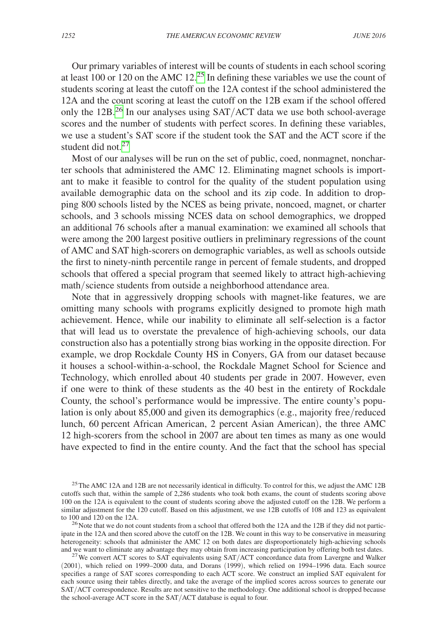Our primary variables of interest will be counts of students in each school scoring at least 100 or 120 on the AMC 12.<sup>25</sup> In defining these variables we use the count of students scoring at least the cutoff on the 12A contest if the school administered the 12A and the count scoring at least the cutoff on the 12B exam if the school offered only the  $12B<sup>26</sup>$  In our analyses using SAT/ACT data we use both school-average scores and the number of students with perfect scores. In defining these variables, we use a student's SAT score if the student took the SAT and the ACT score if the student did not.<sup>[27](#page-8-2)</sup>

Most of our analyses will be run on the set of public, coed, nonmagnet, noncharter schools that administered the AMC 12. Eliminating magnet schools is important to make it feasible to control for the quality of the student population using available demographic data on the school and its zip code. In addition to dropping 800 schools listed by the NCES as being private, noncoed, magnet, or charter schools, and 3 schools missing NCES data on school demographics, we dropped an additional 76 schools after a manual examination: we examined all schools that were among the 200 largest positive outliers in preliminary regressions of the count of AMC and SAT high-scorers on demographic variables, as well as schools outside the first to ninety-ninth percentile range in percent of female students, and dropped schools that offered a special program that seemed likely to attract high-achieving math/science students from outside a neighborhood attendance area.

Note that in aggressively dropping schools with magnet-like features, we are omitting many schools with programs explicitly designed to promote high math achievement. Hence, while our inability to eliminate all self-selection is a factor that will lead us to overstate the prevalence of high-achieving schools, our data construction also has a potentially strong bias working in the opposite direction. For example, we drop Rockdale County HS in Conyers, GA from our dataset because it houses a school-within-a-school, the Rockdale Magnet School for Science and Technology, which enrolled about 40 students per grade in 2007. However, even if one were to think of these students as the 40 best in the entirety of Rockdale County, the school's performance would be impressive. The entire county's population is only about 85,000 and given its demographics (e.g., majority free/reduced lunch, 60 percent African American, 2 percent Asian American), the three AMC 12 high-scorers from the school in 2007 are about ten times as many as one would have expected to find in the entire county. And the fact that the school has special

<span id="page-8-0"></span><sup>&</sup>lt;sup>25</sup>The AMC 12A and 12B are not necessarily identical in difficulty. To control for this, we adjust the AMC 12B cutoffs such that, within the sample of 2,286 students who took both exams, the count of students scoring above 100 on the 12A is equivalent to the count of students scoring above the adjusted cutoff on the 12B. We perform a similar adjustment for the 120 cutoff. Based on this adjustment, we use 12B cutoffs of 108 and 123 as equivalent to 100 and 120 on the 12A.

<span id="page-8-1"></span> $10^{26}$  Note that we do not count students from a school that offered both the 12A and the 12B if they did not participate in the 12A and then scored above the cutoff on the 12B. We count in this way to be conservative in measuring heterogeneity: schools that administer the AMC 12 on both dates are disproportionately high-achieving schools and we want to eliminate any advantage they may obtain from increasing participation by offering both test dates

<span id="page-8-2"></span><sup>&</sup>lt;sup>27</sup> We convert ACT scores to SAT equivalents using SAT/ACT concordance data from Lavergne and Walker (2001), which relied on 1999–2000 data, and Dorans (1999), which relied on 1994–1996 data. Each source specifies a range of SAT scores corresponding to each ACT score. We construct an implied SAT equivalent for each source using their tables directly, and take the average of the implied scores across sources to generate our SAT/ACT correspondence. Results are not sensitive to the methodology. One additional school is dropped because the school-average ACT score in the SAT/ACT database is equal to four.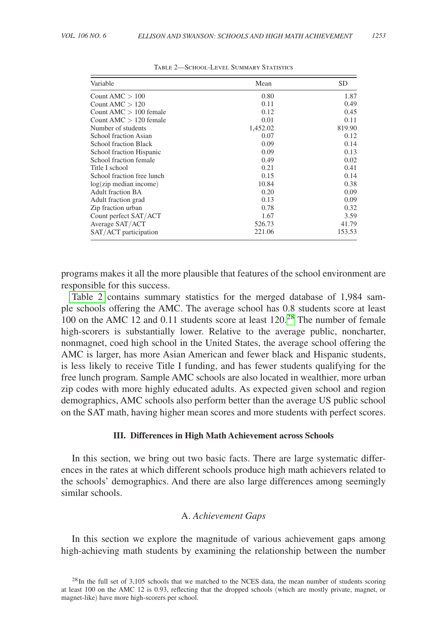| Variable                         | Mean     | <b>SD</b> |
|----------------------------------|----------|-----------|
| Count AMC $> 100$                | 0.80     | 1.87      |
| Count AMC $> 120$                | 0.11     | 0.49      |
| Count AMC $> 100$ female         | 0.12     | 0.45      |
| Count AMC $> 120$ female         | 0.01     | 0.11      |
| Number of students               | 1.452.02 | 819.90    |
| <b>School fraction Asian</b>     | 0.07     | 0.12      |
| <b>School fraction Black</b>     | 0.09     | 0.14      |
| School fraction Hispanic         | 0.09     | 0.13      |
| School fraction female           | 0.49     | 0.02      |
| Title I school                   | 0.21     | 0.41      |
| School fraction free lunch       | 0.15     | 0.14      |
| $log(zip \text{ median income})$ | 10.84    | 0.38      |
| Adult fraction BA                | 0.20     | 0.09      |
| Adult fraction grad              | 0.13     | 0.09      |
| Zip fraction urban               | 0.78     | 0.32      |
| Count perfect SAT/ACT            | 1.67     | 3.59      |
| Average SAT/ACT                  | 526.73   | 41.79     |
| SAT/ACT participation            | 221.06   | 153.53    |

Table 2—School-Level Summary Statistics

programs makes it all the more plausible that features of the school environment are responsible for this success.

Table 2 contains summary statistics for the merged database of 1,984 sample schools offering the AMC. The average school has 0.8 students score at least 100 on the AMC 12 and 0.11 students score at least  $120<sup>28</sup>$  The number of female high-scorers is substantially lower. Relative to the average public, noncharter, nonmagnet, coed high school in the United States, the average school offering the AMC is larger, has more Asian American and fewer black and Hispanic students, is less likely to receive Title I funding, and has fewer students qualifying for the free lunch program. Sample AMC schools are also located in wealthier, more urban zip codes with more highly educated adults. As expected given school and region demographics, AMC schools also perform better than the average US public school on the SAT math, having higher mean scores and more students with perfect scores.

#### **III. Differences in High Math Achievement across Schools**

In this section, we bring out two basic facts. There are large systematic differences in the rates at which different schools produce high math achievers related to the schools' demographics. And there are also large differences among seemingly similar schools.

## A. *Achievement Gaps*

In this section we explore the magnitude of various achievement gaps among high-achieving math students by examining the relationship between the number

<span id="page-9-0"></span><sup>&</sup>lt;sup>28</sup>In the full set of 3,105 schools that we matched to the NCES data, the mean number of students scoring at least 100 on the AMC 12 is 0.93, reflecting that the dropped schools (which are mostly private, magnet, or magnet-like) have more high-scorers per school.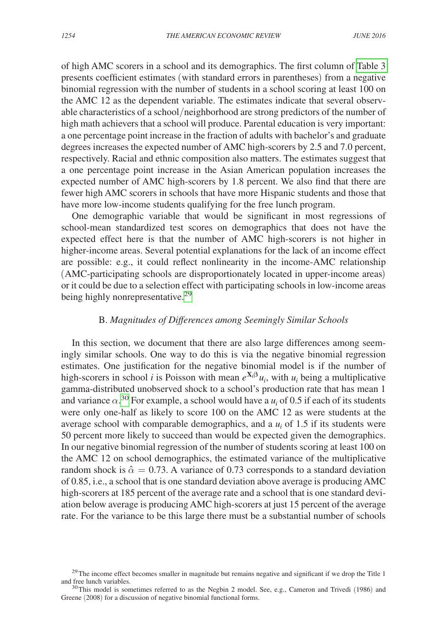of high AMC scorers in a school and its demographics. The first column of [Table 3](#page-11-0)  presents coefficient estimates (with standard errors in parentheses) from a negative binomial regression with the number of students in a school scoring at least 100 on the AMC 12 as the dependent variable. The estimates indicate that several observable characteristics of a school/neighborhood are strong predictors of the number of high math achievers that a school will produce. Parental education is very important: a one percentage point increase in the fraction of adults with bachelor's and graduate degrees increases the expected number of AMC high-scorers by 2.5 and 7.0 percent, respectively. Racial and ethnic composition also matters. The estimates suggest that a one percentage point increase in the Asian American population increases the expected number of AMC high-scorers by 1.8 percent. We also find that there are fewer high AMC scorers in schools that have more Hispanic students and those that have more low-income students qualifying for the free lunch program.

One demographic variable that would be significant in most regressions of school-mean standardized test scores on demographics that does not have the expected effect here is that the number of AMC high-scorers is not higher in higher-income areas. Several potential explanations for the lack of an income effect are possible: e.g., it could reflect nonlinearity in the income-AMC relationship (AMC-participating schools are disproportionately located in upper-income areas) or it could be due to a selection effect with participating schools in low-income areas being highly nonrepresentative.<sup>[29](#page-10-0)</sup>

## B. *Magnitudes of Differences among Seemingly Similar Schools*

In this section, we document that there are also large differences among seemingly similar schools. One way to do this is via the negative binomial regression estimates. One justification for the negative binomial model is if the number of high-scorers in school *i* is Poisson with mean  $e^{X_i\beta}u_i$ , with  $u_i$  being a multiplicative gamma-distributed unobserved shock to a school's production rate that has mean 1 and variance  $\alpha$ <sup>[30](#page-10-1)</sup> For example, a school would have a  $u_i$  of 0.5 if each of its students were only one-half as likely to score 100 on the AMC 12 as were students at the average school with comparable demographics, and a  $u_i$  of 1.5 if its students were 50 percent more likely to succeed than would be expected given the demographics. In our negative binomial regression of the number of students scoring at least 100 on the AMC 12 on school demographics, the estimated variance of the multiplicative random shock is  $\hat{\alpha} = 0.73$ . A variance of 0.73 corresponds to a standard deviation of 0.85, i.e., a school that is one standard deviation above average is producing AMC high-scorers at 185 percent of the average rate and a school that is one standard deviation below average is producing AMC high-scorers at just 15 percent of the average rate. For the variance to be this large there must be a substantial number of schools

<span id="page-10-0"></span> $29$ The income effect becomes smaller in magnitude but remains negative and significant if we drop the Title 1 and free lunch variables.<br><sup>30</sup>This model is sometimes referred to as the Negbin 2 model. See, e.g., Cameron and Trivedi (1986) and

<span id="page-10-1"></span>Greene (2008) for a discussion of negative binomial functional forms.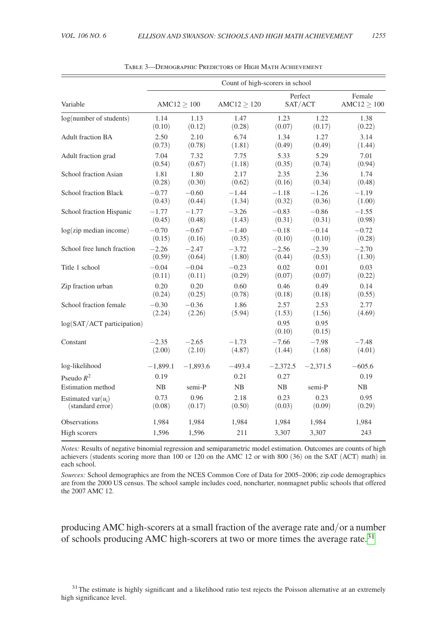<span id="page-11-0"></span>

|                                  | Count of high-scorers in school |            |             |                    |                |                       |  |  |
|----------------------------------|---------------------------------|------------|-------------|--------------------|----------------|-----------------------|--|--|
| Variable                         | AMC12 > 100                     |            | AMC12 > 120 | Perfect<br>SAT/ACT |                | Female<br>AMC12 > 100 |  |  |
| log(number of students)          | 1.14                            | 1.13       | 1.47        | 1.23               | 1.22           | 1.38                  |  |  |
|                                  | (0.10)                          | (0.12)     | (0.28)      | (0.07)             | (0.17)         | (0.22)                |  |  |
| Adult fraction BA                | 2.50                            | 2.10       | 6.74        | 1.34               | 1.27           | 3.14                  |  |  |
|                                  | (0.73)                          | (0.78)     | (1.81)      | (0.49)             | (0.49)         | (1.44)                |  |  |
| Adult fraction grad              | 7.04                            | 7.32       | 7.75        | 5.33               | 5.29           | 7.01                  |  |  |
|                                  | (0.54)                          | (0.67)     | (1.18)      | (0.35)             | (0.74)         | (0.94)                |  |  |
| School fraction Asian            | 1.81                            | 1.80       | 2.17        | 2.35               | 2.36           | 1.74                  |  |  |
|                                  | (0.28)                          | (0.30)     | (0.62)      | (0.16)             | (0.34)         | (0.48)                |  |  |
| School fraction Black            | $-0.77$                         | $-0.60$    | $-1.44$     | $-1.18$            | $-1.26$        | $-1.19$               |  |  |
|                                  | (0.43)                          | (0.44)     | (1.34)      | (0.32)             | (0.36)         | (1.00)                |  |  |
| School fraction Hispanic         | $-1.77$                         | $-1.77$    | $-3.26$     | $-0.83$            | $-0.86$        | $-1.55$               |  |  |
|                                  | (0.45)                          | (0.48)     | (1.43)      | (0.31)             | (0.31)         | (0.98)                |  |  |
| $log(zip \text{ median income})$ | $-0.70$                         | $-0.67$    | $-1.40$     | $-0.18$            | $-0.14$        | $-0.72$               |  |  |
|                                  | (0.15)                          | (0.16)     | (0.35)      | (0.10)             | (0.10)         | (0.28)                |  |  |
| School free lunch fraction       | $-2.26$                         | $-2.47$    | $-3.72$     | $-2.56$            | $-2.39$        | $-2.70$               |  |  |
|                                  | (0.59)                          | (0.64)     | (1.80)      | (0.44)             | (0.53)         | (1.30)                |  |  |
| Title 1 school                   | $-0.04$                         | $-0.04$    | $-0.23$     | 0.02               | 0.01           | 0.03                  |  |  |
|                                  | (0.11)                          | (0.11)     | (0.29)      | (0.07)             | (0.07)         | (0.22)                |  |  |
| Zip fraction urban               | 0.20                            | 0.20       | 0.60        | 0.46               | 0.49           | 0.14                  |  |  |
|                                  | (0.24)                          | (0.25)     | (0.78)      | (0.18)             | (0.18)         | (0.55)                |  |  |
| School fraction female           | $-0.30$                         | $-0.36$    | 1.86        | 2.57               | 2.53           | 2.77                  |  |  |
|                                  | (2.24)                          | (2.26)     | (5.94)      | (1.53)             | (1.56)         | (4.69)                |  |  |
| $log(SAT/ACT$ participation)     |                                 |            |             | 0.95<br>(0.10)     | 0.95<br>(0.15) |                       |  |  |
| Constant                         | $-2.35$                         | $-2.65$    | $-1.73$     | $-7.66$            | $-7.98$        | $-7.48$               |  |  |
|                                  | (2.00)                          | (2.10)     | (4.87)      | (1.44)             | (1.68)         | (4.01)                |  |  |
| log-likelihood                   | $-1,899.1$                      | $-1,893.6$ | $-493.4$    | $-2,372.5$         | $-2,371.5$     | $-605.6$              |  |  |
| Pseudo $R^2$                     | 0.19                            |            | 0.21        | 0.27               |                | 0.19                  |  |  |
| <b>Estimation</b> method         | NB                              | semi-P     | NB          | NB                 | semi-P         | NB                    |  |  |
| Estimated var $(u_i)$            | 0.73                            | 0.96       | 2.18        | 0.23               | 0.23           | 0.95                  |  |  |
| (standard error)                 | (0.08)                          | (0.17)     | (0.50)      | (0.03)             | (0.09)         | (0.29)                |  |  |
| <b>Observations</b>              | 1,984                           | 1,984      | 1,984       | 1,984              | 1,984          | 1,984                 |  |  |
| High scorers                     | 1,596                           | 1,596      | 211         | 3,307              | 3,307          | 243                   |  |  |

Table 3—Demographic Predictors of High Math Achievement

*Notes:* Results of negative binomial regression and semiparametric model estimation. Outcomes are counts of high achievers (students scoring more than 100 or 120 on the AMC 12 or with 800 (36) on the SAT (ACT) math) in each school.

*Sources:* School demographics are from the NCES Common Core of Data for 2005–2006; zip code demographics are from the 2000 US census. The school sample includes coed, noncharter, nonmagnet public schools that offered the 2007 AMC 12.

producing AMC high-scorers at a small fraction of the average rate and/or a number of schools producing AMC high-scorers at two or more times the average rate.<sup>31</sup>

<span id="page-11-1"></span> $31$ The estimate is highly significant and a likelihood ratio test rejects the Poisson alternative at an extremely high significance level.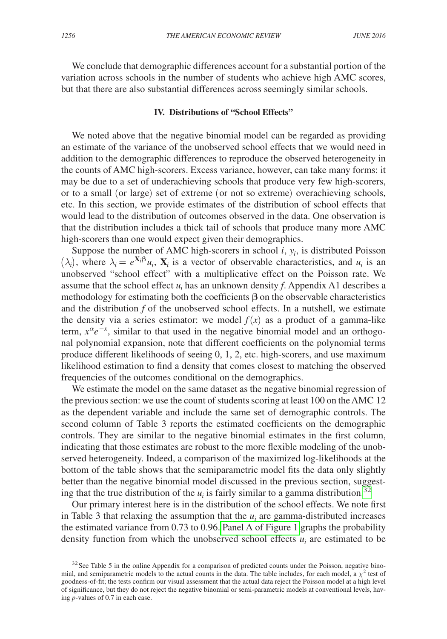We conclude that demographic differences account for a substantial portion of the variation across schools in the number of students who achieve high AMC scores, but that there are also substantial differences across seemingly similar schools.

## **IV. Distributions of "School Effects"**

We noted above that the negative binomial model can be regarded as providing an estimate of the variance of the unobserved school effects that we would need in addition to the demographic differences to reproduce the observed heterogeneity in the counts of AMC high-scorers. Excess variance, however, can take many forms: it may be due to a set of underachieving schools that produce very few high-scorers, or to a small (or large) set of extreme (or not so extreme) overachieving schools, etc. In this section, we provide estimates of the distribution of school effects that would lead to the distribution of outcomes observed in the data. One observation is that the distribution includes a thick tail of schools that produce many more AMC high-scorers than one would expect given their demographics.

Suppose the number of AMC high-scorers in school  $i$ ,  $y_i$ , is distributed Poisson  $(\lambda_i)$ , where  $\lambda_i = e^{\mathbf{X}_i \beta} u_i$ ,  $\mathbf{X}_i$  is a vector of observable characteristics, and  $u_i$  is an unobserved "school effect" with a multiplicative effect on the Poisson rate. We assume that the school effect  $u_i$  has an unknown density  $f$ . Appendix A1 describes a methodology for estimating both the coefficients **β** on the observable characteristics and the distribution *f* of the unobserved school effects. In a nutshell, we estimate the density via a series estimator: we model  $f(x)$  as a product of a gamma-like term,  $x^{\alpha}e^{-x}$ , similar to that used in the negative binomial model and an orthogonal polynomial expansion, note that different coefficients on the polynomial terms produce different likelihoods of seeing 0, 1, 2, etc. high-scorers, and use maximum likelihood estimation to find a density that comes closest to matching the observed frequencies of the outcomes conditional on the demographics.

We estimate the model on the same dataset as the negative binomial regression of the previous section: we use the count of students scoring at least 100 on the AMC 12 as the dependent variable and include the same set of demographic controls. The second column of Table 3 reports the estimated coefficients on the demographic controls. They are similar to the negative binomial estimates in the first column, indicating that those estimates are robust to the more flexible modeling of the unobserved heterogeneity. Indeed, a comparison of the maximized log-likelihoods at the bottom of the table shows that the semiparametric model fits the data only slightly better than the negative binomial model discussed in the previous section, suggesting that the true distribution of the  $u_i$  is fairly similar to a gamma distribution.<sup>[32](#page-12-0)</sup>

Our primary interest here is in the distribution of the school effects. We note first in Table 3 that relaxing the assumption that the  $u_i$  are gamma-distributed increases the estimated variance from 0.73 to 0.96. [Panel A of Figure 1](#page-13-0) graphs the probability density function from which the unobserved school effects  $u_i$  are estimated to be

<span id="page-12-0"></span> $32$  See Table 5 in the online Appendix for a comparison of predicted counts under the Poisson, negative binomial, and semiparametric models to the actual counts in the data. The table includes, for each model, a  $\chi^2$  test of goodness-of-fit; the tests confirm our visual assessment that the actual data reject the Poisson model at a high level of significance, but they do not reject the negative binomial or semi-parametric models at conventional levels, having *p*-values of 0.7 in each case.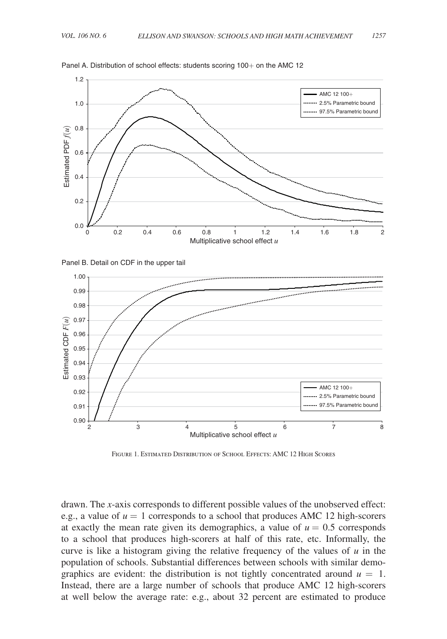

<span id="page-13-0"></span>Panel A. Distribution of school effects: students scoring 100+ on the AMC 12





Figure 1. Estimated Distribution of School Effects: AMC 12 High Scores

drawn. The *x*-axis corresponds to different possible values of the unobserved effect: e.g., a value of  $u = 1$  corresponds to a school that produces AMC 12 high-scorers at exactly the mean rate given its demographics, a value of  $u = 0.5$  corresponds to a school that produces high-scorers at half of this rate, etc. Informally, the curve is like a histogram giving the relative frequency of the values of *u* in the population of schools. Substantial differences between schools with similar demographics are evident: the distribution is not tightly concentrated around  $u = 1$ . Instead, there are a large number of schools that produce AMC 12 high-scorers at well below the average rate: e.g., about 32 percent are estimated to produce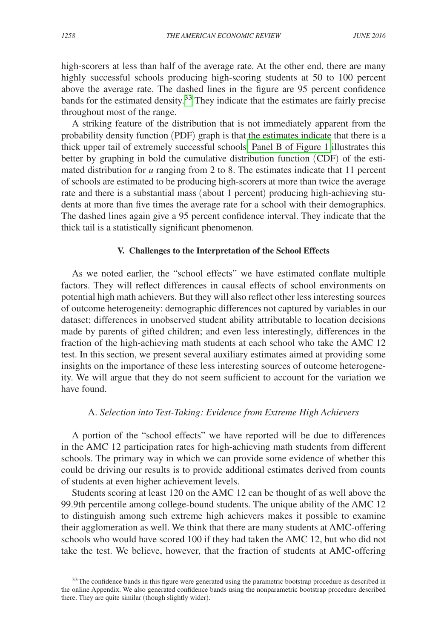high-scorers at less than half of the average rate. At the other end, there are many highly successful schools producing high-scoring students at 50 to 100 percent above the average rate. The dashed lines in the figure are 95 percent confidence bands for the estimated density.<sup>33</sup> They indicate that the estimates are fairly precise throughout most of the range.

A striking feature of the distribution that is not immediately apparent from the probability density function (PDF) graph is that the estimates indicate that there is a thick upper tail of extremely successful schools[. Panel B of Figure 1](#page-13-0) illustrates this better by graphing in bold the cumulative distribution function (CDF) of the estimated distribution for *u* ranging from 2 to 8. The estimates indicate that 11 percent of schools are estimated to be producing high-scorers at more than twice the average rate and there is a substantial mass (about 1 percent) producing high-achieving students at more than five times the average rate for a school with their demographics. The dashed lines again give a 95 percent confidence interval. They indicate that the thick tail is a statistically significant phenomenon.

#### **V. Challenges to the Interpretation of the School Effects**

As we noted earlier, the "school effects" we have estimated conflate multiple factors. They will reflect differences in causal effects of school environments on potential high math achievers. But they will also reflect other less interesting sources of outcome heterogeneity: demographic differences not captured by variables in our dataset; differences in unobserved student ability attributable to location decisions made by parents of gifted children; and even less interestingly, differences in the fraction of the high-achieving math students at each school who take the AMC 12 test. In this section, we present several auxiliary estimates aimed at providing some insights on the importance of these less interesting sources of outcome heterogeneity. We will argue that they do not seem sufficient to account for the variation we have found.

## A. *Selection into Test-Taking: Evidence from Extreme High Achievers*

A portion of the "school effects" we have reported will be due to differences in the AMC 12 participation rates for high-achieving math students from different schools. The primary way in which we can provide some evidence of whether this could be driving our results is to provide additional estimates derived from counts of students at even higher achievement levels.

Students scoring at least 120 on the AMC 12 can be thought of as well above the 99.9th percentile among college-bound students. The unique ability of the AMC 12 to distinguish among such extreme high achievers makes it possible to examine their agglomeration as well. We think that there are many students at AMC-offering schools who would have scored 100 if they had taken the AMC 12, but who did not take the test. We believe, however, that the fraction of students at AMC-offering

<span id="page-14-0"></span><sup>&</sup>lt;sup>33</sup>The confidence bands in this figure were generated using the parametric bootstrap procedure as described in the online Appendix. We also generated confidence bands using the nonparametric bootstrap procedure described there. They are quite similar (though slightly wider).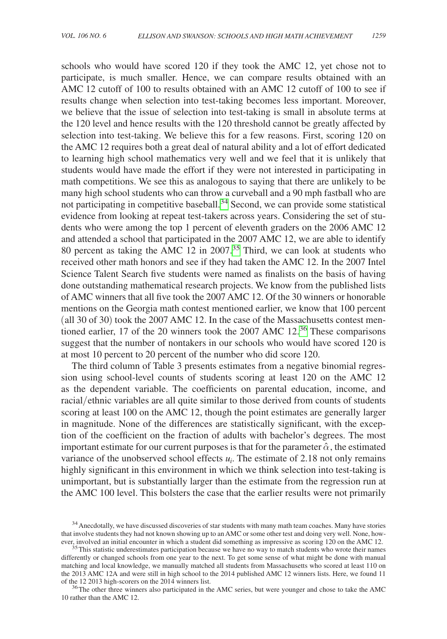schools who would have scored 120 if they took the AMC 12, yet chose not to participate, is much smaller. Hence, we can compare results obtained with an AMC 12 cutoff of 100 to results obtained with an AMC 12 cutoff of 100 to see if results change when selection into test-taking becomes less important. Moreover, we believe that the issue of selection into test-taking is small in absolute terms at the 120 level and hence results with the 120 threshold cannot be greatly affected by selection into test-taking. We believe this for a few reasons. First, scoring 120 on the AMC 12 requires both a great deal of natural ability and a lot of effort dedicated to learning high school mathematics very well and we feel that it is unlikely that students would have made the effort if they were not interested in participating in math competitions. We see this as analogous to saying that there are unlikely to be many high school students who can throw a curveball and a 90 mph fastball who are not participating in competitive baseball.<sup>[34](#page-15-0)</sup> Second, we can provide some statistical evidence from looking at repeat test-takers across years. Considering the set of students who were among the top 1 percent of eleventh graders on the 2006 AMC 12 and attended a school that participated in the 2007 AMC 12, we are able to identify 80 percent as taking the AMC 12 in  $2007<sup>35</sup>$  Third, we can look at students who received other math honors and see if they had taken the AMC 12. In the 2007 Intel Science Talent Search five students were named as finalists on the basis of having done outstanding mathematical research projects. We know from the published lists of AMC winners that all five took the 2007 AMC 12. Of the 30 winners or honorable mentions on the Georgia math contest mentioned earlier, we know that 100 percent (all 30 of 30) took the 2007 AMC 12. In the case of the Massachusetts contest mentioned earlier, 17 of the 20 winners took the 2007 AMC 12.[36](#page-15-2) These comparisons suggest that the number of nontakers in our schools who would have scored 120 is at most 10 percent to 20 percent of the number who did score 120.

The third column of Table 3 presents estimates from a negative binomial regression using school-level counts of students scoring at least 120 on the AMC 12 as the dependent variable. The coefficients on parental education, income, and racial/ethnic variables are all quite similar to those derived from counts of students scoring at least 100 on the AMC 12, though the point estimates are generally larger in magnitude. None of the differences are statistically significant, with the exception of the coefficient on the fraction of adults with bachelor's degrees. The most important estimate for our current purposes is that for the parameter  $\hat{\alpha}$ , the estimated variance of the unobserved school effects  $u_i$ . The estimate of 2.18 not only remains highly significant in this environment in which we think selection into test-taking is unimportant, but is substantially larger than the estimate from the regression run at the AMC 100 level. This bolsters the case that the earlier results were not primarily

<span id="page-15-2"></span>10 rather than the AMC 12.

<span id="page-15-0"></span><sup>&</sup>lt;sup>34</sup> Anecdotally, we have discussed discoveries of star students with many math team coaches. Many have stories that involve students they had not known showing up to an AMC or some other test and doing very well. None, however, involved an initial encounter in which a student did something as impressive as scoring 120 on the AMC 12. 35This statistic underestimates participation because we have no way to match students who wrote their names

<span id="page-15-1"></span>differently or changed schools from one year to the next. To get some sense of what might be done with manual matching and local knowledge, we manually matched all students from Massachusetts who scored at least 110 on the 2013 AMC 12A and were still in high school to the 2014 published AMC 12 winners lists. Here, we found 11 of the 12 2013 high-scorers on the 2014 winners list.<br><sup>36</sup>The other three winners also participated in the AMC series, but were younger and chose to take the AMC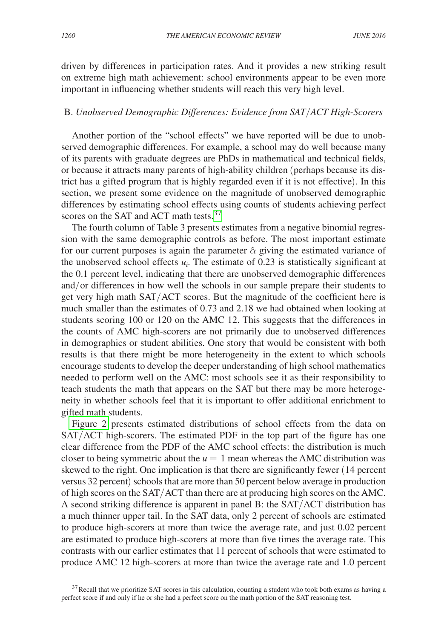driven by differences in participation rates. And it provides a new striking result on extreme high math achievement: school environments appear to be even more important in influencing whether students will reach this very high level.

#### B. *Unobserved Demographic Differences: Evidence from SAT*/*ACT High-Scorers*

Another portion of the "school effects" we have reported will be due to unobserved demographic differences. For example, a school may do well because many of its parents with graduate degrees are PhDs in mathematical and technical fields, or because it attracts many parents of high-ability children (perhaps because its district has a gifted program that is highly regarded even if it is not effective). In this section, we present some evidence on the magnitude of unobserved demographic differences by estimating school effects using counts of students achieving perfect scores on the SAT and ACT math tests.<sup>[37](#page-16-0)</sup>

The fourth column of Table 3 presents estimates from a negative binomial regression with the same demographic controls as before. The most important estimate for our current purposes is again the parameter  $\hat{\alpha}$  giving the estimated variance of the unobserved school effects  $u_i$ . The estimate of 0.23 is statistically significant at the 0.1 percent level, indicating that there are unobserved demographic differences and/or differences in how well the schools in our sample prepare their students to get very high math SAT/ACT scores. But the magnitude of the coefficient here is much smaller than the estimates of 0.73 and 2.18 we had obtained when looking at students scoring 100 or 120 on the AMC 12. This suggests that the differences in the counts of AMC high-scorers are not primarily due to unobserved differences in demographics or student abilities. One story that would be consistent with both results is that there might be more heterogeneity in the extent to which schools encourage students to develop the deeper understanding of high school mathematics needed to perform well on the AMC: most schools see it as their responsibility to teach students the math that appears on the SAT but there may be more heterogeneity in whether schools feel that it is important to offer additional enrichment to gifted math students.

[Figure 2](#page-17-0) presents estimated distributions of school effects from the data on SAT/ACT high-scorers. The estimated PDF in the top part of the figure has one clear difference from the PDF of the AMC school effects: the distribution is much closer to being symmetric about the  $u = 1$  mean whereas the AMC distribution was skewed to the right. One implication is that there are significantly fewer (14 percent versus 32 percent) schools that are more than 50 percent below average in production of high scores on the SAT/ACT than there are at producing high scores on the AMC. A second striking difference is apparent in panel B: the SAT/ACT distribution has a much thinner upper tail. In the SAT data, only 2 percent of schools are estimated to produce high-scorers at more than twice the average rate, and just 0.02 percent are estimated to produce high-scorers at more than five times the average rate. This contrasts with our earlier estimates that 11 percent of schools that were estimated to produce AMC 12 high-scorers at more than twice the average rate and 1.0 percent

<span id="page-16-0"></span><sup>&</sup>lt;sup>37</sup>Recall that we prioritize SAT scores in this calculation, counting a student who took both exams as having a perfect score if and only if he or she had a perfect score on the math portion of the SAT reasoning test.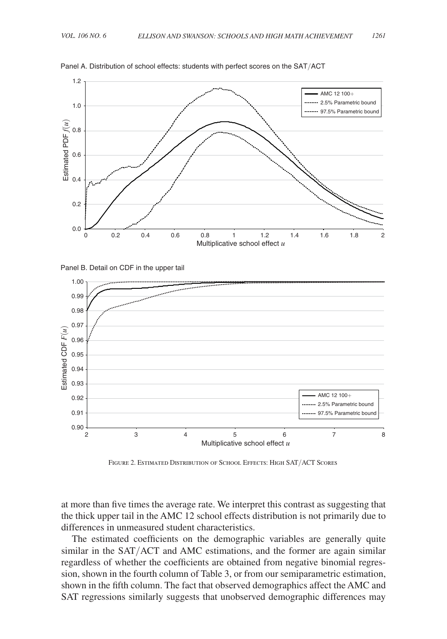

<span id="page-17-0"></span>Panel A. Distribution of school effects: students with perfect scores on the SAT/ACT





Figure 2. Estimated Distribution of School Effects: High SAT/ACT Scores

at more than five times the average rate. We interpret this contrast as suggesting that the thick upper tail in the AMC 12 school effects distribution is not primarily due to differences in unmeasured student characteristics.

The estimated coefficients on the demographic variables are generally quite similar in the SAT/ACT and AMC estimations, and the former are again similar regardless of whether the coefficients are obtained from negative binomial regression, shown in the fourth column of Table 3, or from our semiparametric estimation, shown in the fifth column. The fact that observed demographics affect the AMC and SAT regressions similarly suggests that unobserved demographic differences may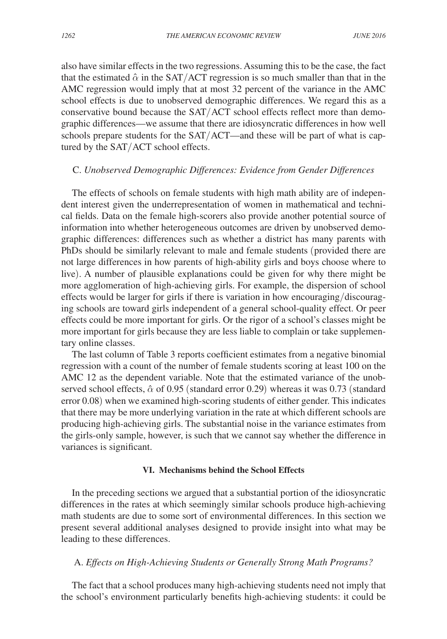also have similar effects in the two regressions. Assuming this to be the case, the fact that the estimated  $\hat{\alpha}$  in the SAT/ACT regression is so much smaller than that in the AMC regression would imply that at most 32 percent of the variance in the AMC school effects is due to unobserved demographic differences. We regard this as a conservative bound because the SAT/ACT school effects reflect more than demographic differences—we assume that there are idiosyncratic differences in how well schools prepare students for the SAT/ACT—and these will be part of what is captured by the SAT/ACT school effects.

## C. *Unobserved Demographic Differences: Evidence from Gender Differences*

The effects of schools on female students with high math ability are of independent interest given the underrepresentation of women in mathematical and technical fields. Data on the female high-scorers also provide another potential source of information into whether heterogeneous outcomes are driven by unobserved demographic differences: differences such as whether a district has many parents with PhDs should be similarly relevant to male and female students (provided there are not large differences in how parents of high-ability girls and boys choose where to live). A number of plausible explanations could be given for why there might be more agglomeration of high-achieving girls. For example, the dispersion of school effects would be larger for girls if there is variation in how encouraging/discouraging schools are toward girls independent of a general school-quality effect. Or peer effects could be more important for girls. Or the rigor of a school's classes might be more important for girls because they are less liable to complain or take supplementary online classes.

The last column of Table 3 reports coefficient estimates from a negative binomial regression with a count of the number of female students scoring at least 100 on the AMC 12 as the dependent variable. Note that the estimated variance of the unobserved school effects,  $\hat{\alpha}$  of 0.95 (standard error 0.29) whereas it was 0.73 (standard error 0.08) when we examined high-scoring students of either gender. This indicates that there may be more underlying variation in the rate at which different schools are producing high-achieving girls. The substantial noise in the variance estimates from the girls-only sample, however, is such that we cannot say whether the difference in variances is significant.

#### **VI. Mechanisms behind the School Effects**

In the preceding sections we argued that a substantial portion of the idiosyncratic differences in the rates at which seemingly similar schools produce high-achieving math students are due to some sort of environmental differences. In this section we present several additional analyses designed to provide insight into what may be leading to these differences.

## A. *Effects on High-Achieving Students or Generally Strong Math Programs?*

The fact that a school produces many high-achieving students need not imply that the school's environment particularly benefits high-achieving students: it could be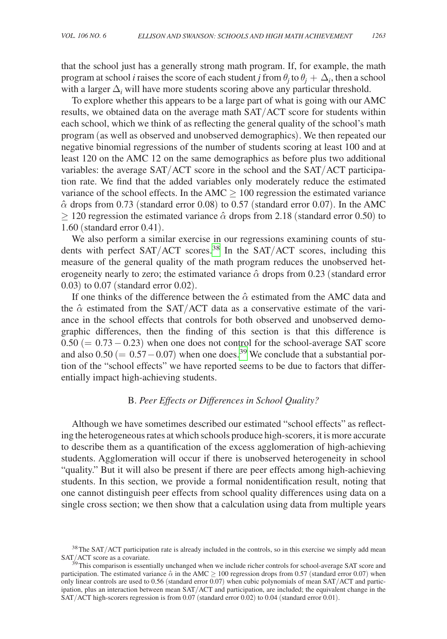that the school just has a generally strong math program. If, for example, the math program at school *i* raises the score of each student *j* from  $\theta_j$  to  $\theta_j + \Delta_i$ , then a school with a larger  $\Delta$ <sub>*i*</sub> will have more students scoring above any particular threshold.

To explore whether this appears to be a large part of what is going with our AMC results, we obtained data on the average math SAT/ACT score for students within each school, which we think of as reflecting the general quality of the school's math program (as well as observed and unobserved demographics). We then repeated our negative binomial regressions of the number of students scoring at least 100 and at least 120 on the AMC 12 on the same demographics as before plus two additional variables: the average SAT/ACT score in the school and the SAT/ACT participation rate. We find that the added variables only moderately reduce the estimated variance of the school effects. In the  $AMC \geq 100$  regression the estimated variance  $\hat{\alpha}$  drops from 0.73 (standard error 0.08) to 0.57 (standard error 0.07). In the AMC  $\geq$  120 regression the estimated variance  $\hat{\alpha}$  drops from 2.18 (standard error 0.50) to 1.60 (standard error 0.41).

We also perform a similar exercise in our regressions examining counts of students with perfect  $SAT/ACT$  scores.<sup>[38](#page-19-0)</sup> In the  $SAT/ACT$  scores, including this measure of the general quality of the math program reduces the unobserved heterogeneity nearly to zero; the estimated variance  $\hat{\alpha}$  drops from 0.23 (standard error 0.03) to 0.07 (standard error 0.02).

If one thinks of the difference between the  $\hat{\alpha}$  estimated from the AMC data and the  $\hat{\alpha}$  estimated from the SAT/ACT data as a conservative estimate of the variance in the school effects that controls for both observed and unobserved demographic differences, then the finding of this section is that this difference is  $0.50 (= 0.73 - 0.23)$  when one does not control for the school-average SAT score and also  $0.50 (= 0.57 - 0.07)$  when one does.<sup>39</sup> We conclude that a substantial portion of the "school effects" we have reported seems to be due to factors that differentially impact high-achieving students.

## B. *Peer Effects or Differences in School Quality?*

Although we have sometimes described our estimated "school effects" as reflecting the heterogeneous rates at which schools produce high-scorers, it is more accurate to describe them as a quantification of the excess agglomeration of high-achieving students. Agglomeration will occur if there is unobserved heterogeneity in school "quality." But it will also be present if there are peer effects among high-achieving students. In this section, we provide a formal nonidentification result, noting that one cannot distinguish peer effects from school quality differences using data on a single cross section; we then show that a calculation using data from multiple years

<span id="page-19-0"></span> $38$ The SAT/ACT participation rate is already included in the controls, so in this exercise we simply add mean SAT/ACT score as a covariate.

<span id="page-19-1"></span> $<sup>39</sup>$ This comparison is essentially unchanged when we include richer controls for school-average SAT score and</sup> participation. The estimated variance  $\hat{\alpha}$  in the AMC  $\geq$  100 regression drops from 0.57 (standard error 0.07) when only linear controls are used to 0.56 (standard error 0.07) when cubic polynomials of mean SAT/ACT and participation, plus an interaction between mean SAT/ACT and participation, are included; the equivalent change in the SAT/ACT high-scorers regression is from 0.07 (standard error 0.02) to 0.04 (standard error 0.01).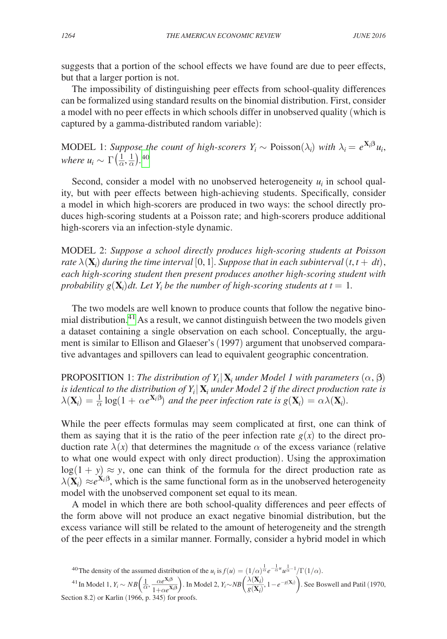suggests that a portion of the school effects we have found are due to peer effects, but that a larger portion is not.

The impossibility of distinguishing peer effects from school-quality differences can be formalized using standard results on the binomial distribution. First, consider a model with no peer effects in which schools differ in unobserved quality (which is captured by a gamma-distributed random variable):

MODEL 1: *Suppose the count of high-scorers*  $Y_i \sim \text{Poisson}(\lambda_i)$  with  $\lambda_i = e^{\mathbf{X}_i \beta} u_i$ , *where*  $u_i \sim \Gamma\left(\frac{1}{\alpha}, \frac{1}{\alpha}\right)$ .<sup>[40](#page-20-0)</sup>

Second, consider a model with no unobserved heterogeneity  $u_i$  in school quality, but with peer effects between high-achieving students. Specifically, consider a model in which high-scorers are produced in two ways: the school directly produces high-scoring students at a Poisson rate; and high-scorers produce additional high-scorers via an infection-style dynamic.

Model 2: *Suppose a school directly produces high-scoring students at Poisson rate*  $\lambda(\mathbf{X}_i)$  *during the time interval*  $[0, 1]$ *. Suppose that in each subinterval*  $(t, t + dt)$ *, each high-scoring student then present produces another high-scoring student with probability*  $g(\mathbf{X}_i)$ *dt. Let*  $Y_i$  *be the number of high-scoring students at*  $t = 1$ *.* 

The two models are well known to produce counts that follow the negative binomial distribution.<sup>41</sup> As a result, we cannot distinguish between the two models given a dataset containing a single observation on each school. Conceptually, the argument is similar to Ellison and Glaeser's (1997) argument that unobserved comparative advantages and spillovers can lead to equivalent geographic concentration.

PROPOSITION 1: *The distribution of*  $Y_i | \mathbf{X}_i$  *under Model 1 with parameters*  $(\alpha, \beta)$ *is identical to the distribution of*  $Y_i | \mathbf{X}_i$  *under Model 2 if the direct production rate is*  $\lambda(\mathbf{X}_i) = \frac{1}{\alpha} \log(1 + \alpha e^{\mathbf{X}_i \beta})$  and the peer infection rate is  $g(\mathbf{X}_i) = \alpha \lambda(\mathbf{X}_i)$ .

While the peer effects formulas may seem complicated at first, one can think of them as saying that it is the ratio of the peer infection rate  $g(x)$  to the direct production rate  $\lambda(x)$  that determines the magnitude  $\alpha$  of the excess variance (relative to what one would expect with only direct production). Using the approximation  $log(1 + y) \approx y$ , one can think of the formula for the direct production rate as  $\lambda(\mathbf{X}_i) \approx e^{\mathbf{X}_i \beta}$ , which is the same functional form as in the unobserved heterogeneity model with the unobserved component set equal to its mean.

A model in which there are both school-quality differences and peer effects of the form above will not produce an exact negative binomial distribution, but the excess variance will still be related to the amount of heterogeneity and the strength of the peer effects in a similar manner. Formally, consider a hybrid model in which

<span id="page-20-1"></span><span id="page-20-0"></span><sup>40</sup> The density of the assumed distribution of the  $u_i$  is  $f(u) = (1/\alpha)^{\frac{1}{\alpha}} e^{-\frac{1}{\alpha}u} u^{\frac{1}{\alpha}-1}/\Gamma(1/\alpha)$ .

<sup>41</sup> In Model 1,  $Y_i \sim NB\left(\frac{1}{\alpha}, \frac{\alpha e^{X_i\beta}}{1 + \alpha e^{X_i\beta}}\right)$ . In Model 2,  $Y_i \sim NB\left(\frac{\lambda(X_i)}{g(X_i)}, 1 - e^{-g(X_i)}\right)$ . See Boswell and Patil (1970, Section 8.2) or Karlin (1966, p. 345) for proofs.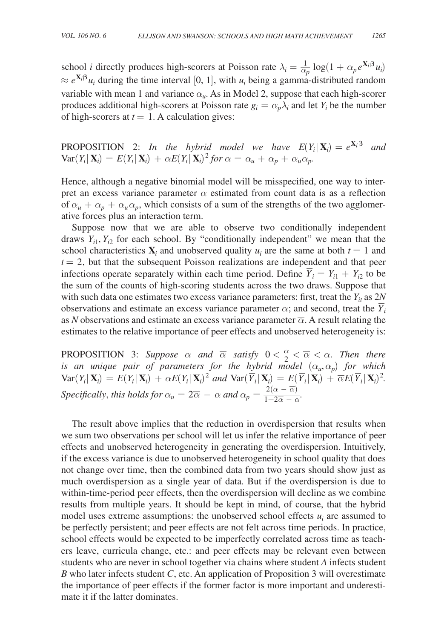school *i* directly produces high-scorers at Poisson rate  $\lambda_i = \frac{1}{\alpha_p} \log(1 + \alpha_p e^{\mathbf{X}_i \cdot \mathbf{B}} u_i)$  $\approx e^{X_i\beta}u_i$  during the time interval [0, 1], with  $u_i$  being a gamma-distributed random variable with mean 1 and variance  $\alpha_{\mu}$ . As in Model 2, suppose that each high-scorer produces additional high-scorers at Poisson rate  $g_i = \alpha_p \lambda_i$  and let  $Y_i$  be the number of high-scorers at  $t = 1$ . A calculation gives:

PROPOSITION 2: *In the hybrid model we have*  $E(Y_i | \mathbf{X}_i) = e^{\mathbf{X}_i \beta}$  *and*  $Var(Y_i | \mathbf{X}_i) = E(Y_i | \mathbf{X}_i) + \alpha E(Y_i | \mathbf{X}_i)^2$  for  $\alpha = \alpha_u + \alpha_p + \alpha_u \alpha_p$ .

Hence, although a negative binomial model will be misspecified, one way to interpret an excess variance parameter  $\alpha$  estimated from count data is as a reflection of  $\alpha_u + \alpha_p + \alpha_u \alpha_p$ , which consists of a sum of the strengths of the two agglomerative forces plus an interaction term.

Suppose now that we are able to observe two conditionally independent draws  $Y_{i1}$ ,  $Y_{i2}$  for each school. By "conditionally independent" we mean that the school characteristics  $\mathbf{X}_i$  and unobserved quality  $u_i$  are the same at both  $t = 1$  and  $t = 2$ , but that the subsequent Poisson realizations are independent and that peer  $i = 2$ , but that the subsequent Poisson realizations are independent and that peer<br>infections operate separately within each time period. Define  $\overline{Y}_i = Y_{i1} + Y_{i2}$  to be the sum of the counts of high-scoring students across the two draws. Suppose that with such data one estimates two excess variance parameters: first, treat the  $Y_{it}$  as  $2N$ with such data one estimates two excess variance parameters. Inst, the  $Y_i$  as  $Z_i$  observations and estimate an excess variance parameter  $\alpha$ ; and second, treat the  $\overline{Y}_i$ as *N* observations and estimate an excess variance parameter  $\overline{\alpha}$ . A result relating the estimates to the relative importance of peer effects and unobserved heterogeneity is:

PROPOSITION 3: *Suppose*  $\alpha$  *and*  $\overline{\alpha}$  *satisfy*  $0 < \frac{\alpha}{2} < \alpha$  $\overline{\alpha} < \alpha$ . Then there *is an unique pair of parameters for the hybrid model*  $(\alpha_u, \alpha_p)$  *for which*  $Var(Y_i|\mathbf{X}_i) = E(Y_i|\mathbf{X}_i) + \alpha E(Y_i|\mathbf{X}_i)^2$  and  $Var(\overline{Y}_i|\mathbf{X}_i) = E(\overline{Y}_i|\mathbf{X}_i) + \overline{\alpha}E(\overline{Y}_i|\mathbf{X}_i)^2$ . *Specifically, this holds for*  $\alpha_u = 2\overline{\alpha} - \alpha$  and  $\alpha_p = \frac{2(\alpha - \overline{\alpha})}{1 + 2\overline{\alpha}}$  $\begin{aligned} \n\tilde{d} \quad \text{mode} \\ \n\tilde{X}_i \quad &= E(\frac{1}{2} \Delta \alpha - \overline{\alpha}) \\ \n\tilde{d} \quad &= \frac{2(\alpha - \overline{\alpha})}{1 + 2\overline{\alpha} - \alpha} \n\end{aligned}$  $\frac{2(\alpha - \alpha)}{1+2\overline{\alpha} - \alpha}$ .

The result above implies that the reduction in overdispersion that results when we sum two observations per school will let us infer the relative importance of peer effects and unobserved heterogeneity in generating the overdispersion. Intuitively, if the excess variance is due to unobserved heterogeneity in school quality that does not change over time, then the combined data from two years should show just as much overdispersion as a single year of data. But if the overdispersion is due to within-time-period peer effects, then the overdispersion will decline as we combine results from multiple years. It should be kept in mind, of course, that the hybrid model uses extreme assumptions: the unobserved school effects  $u_i$  are assumed to be perfectly persistent; and peer effects are not felt across time periods. In practice, school effects would be expected to be imperfectly correlated across time as teachers leave, curricula change, etc.: and peer effects may be relevant even between students who are never in school together via chains where student *A* infects student *B* who later infects student *C*, etc. An application of Proposition 3 will overestimate the importance of peer effects if the former factor is more important and underestimate it if the latter dominates.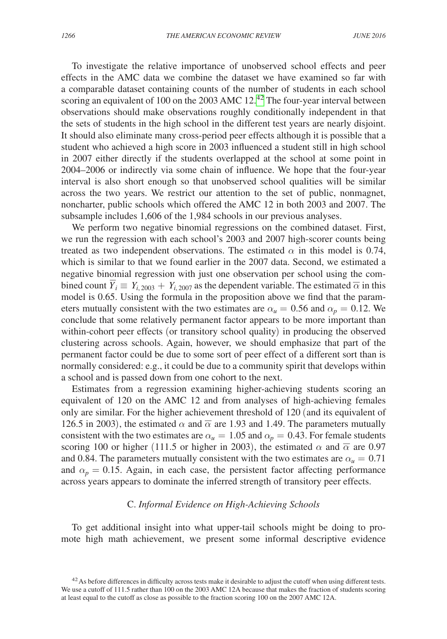To investigate the relative importance of unobserved school effects and peer effects in the AMC data we combine the dataset we have examined so far with a comparable dataset containing counts of the number of students in each school scoring an equivalent of 100 on the 2003 AMC  $12.^{42}$  The four-year interval between observations should make observations roughly conditionally independent in that the sets of students in the high school in the different test years are nearly disjoint. It should also eliminate many cross-period peer effects although it is possible that a student who achieved a high score in 2003 influenced a student still in high school in 2007 either directly if the students overlapped at the school at some point in 2004–2006 or indirectly via some chain of influence. We hope that the four-year interval is also short enough so that unobserved school qualities will be similar across the two years. We restrict our attention to the set of public, nonmagnet, noncharter, public schools which offered the AMC 12 in both 2003 and 2007. The subsample includes 1,606 of the 1,984 schools in our previous analyses.

We perform two negative binomial regressions on the combined dataset. First, we run the regression with each school's 2003 and 2007 high-scorer counts being treated as two independent observations. The estimated  $\alpha$  in this model is 0.74, which is similar to that we found earlier in the 2007 data. Second, we estimated a negative binomial regression with just one observation per school using the combined count  $\overline{Y}_i \equiv Y_{i, 2003} + Y_{i, 2007}$  as the dependent variable. The estimated  $\overline{\alpha}$  in this model is 0.65. Using the formula in the proposition above we find that the parameters mutually consistent with the two estimates are  $\alpha_u = 0.56$  and  $\alpha_p = 0.12$ . We conclude that some relatively permanent factor appears to be more important than within-cohort peer effects (or transitory school quality) in producing the observed clustering across schools. Again, however, we should emphasize that part of the permanent factor could be due to some sort of peer effect of a different sort than is normally considered: e.g., it could be due to a community spirit that develops within a school and is passed down from one cohort to the next.

Estimates from a regression examining higher-achieving students scoring an equivalent of 120 on the AMC 12 and from analyses of high-achieving females only are similar. For the higher achievement threshold of 120 (and its equivalent of 126.5 in 2003), the estimated  $\alpha$  and  $\overline{\alpha}$  are 1.93 and 1.49. The parameters mutually consistent with the two estimates are  $\alpha_u = 1.05$  and  $\alpha_p = 0.43$ . For female students scoring 100 or higher (111.5 or higher in 2003), the estimated  $\alpha$  and  $\overline{\alpha}$  are 0.97 and 0.84. The parameters mutually consistent with the two estimates are  $\alpha_u = 0.71$ and  $\alpha_p = 0.15$ . Again, in each case, the persistent factor affecting performance across years appears to dominate the inferred strength of transitory peer effects.

# C. *Informal Evidence on High-Achieving Schools*

To get additional insight into what upper-tail schools might be doing to promote high math achievement, we present some informal descriptive evidence

<span id="page-22-0"></span> $42$ As before differences in difficulty across tests make it desirable to adjust the cutoff when using different tests. We use a cutoff of 111.5 rather than 100 on the 2003 AMC 12A because that makes the fraction of students scoring at least equal to the cutoff as close as possible to the fraction scoring 100 on the 2007 AMC 12A.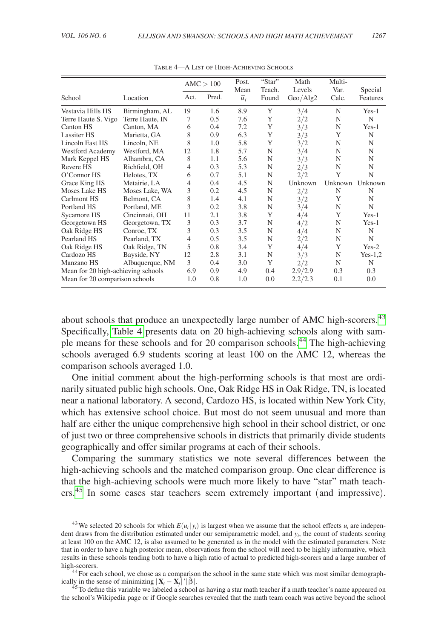|                                    |                 |      | AMC > 100 | Post.<br>Mean    | "Star"<br>Teach. | Math<br>Levels | Multi-<br>Var. | Special   |
|------------------------------------|-----------------|------|-----------|------------------|------------------|----------------|----------------|-----------|
| School                             | Location        | Act. | Pred.     | $\overline{u}_i$ | Found            | Geo/Alg2       | Calc.          | Features  |
| Vestavia Hills HS                  | Birmingham, AL  | 19   | 1.6       | 8.9              | Y                | 3/4            | N              | $Yes-1$   |
| Terre Haute S. Vigo                | Terre Haute, IN | 7    | 0.5       | 7.6              | Y                | 2/2            | N              | N         |
| Canton HS                          | Canton, MA      | 6    | 0.4       | 7.2              | Y                | 3/3            | N              | $Yes-1$   |
| Lassiter HS                        | Marietta, GA    | 8    | 0.9       | 6.3              | Y                | 3/3            | Y              | N         |
| Lincoln East HS                    | Lincoln, NE     | 8    | 1.0       | 5.8              | Y                | 3/2            | N              | N         |
| Westford Academy                   | Westford, MA    | 12   | 1.8       | 5.7              | N                | 3/4            | N              | N         |
| Mark Keppel HS                     | Alhambra, CA    | 8    | 1.1       | 5.6              | N                | 3/3            | N              | N         |
| Revere HS                          | Richfield, OH   | 4    | 0.3       | 5.3              | N                | 2/3            | N              | N         |
| O'Connor HS                        | Helotes, TX     | 6    | 0.7       | 5.1              | N                | 2/2            | Y              | N         |
| Grace King HS                      | Metairie, LA    | 4    | 0.4       | 4.5              | N                | Unknown        | Unknown        | Unknown   |
| Moses Lake HS                      | Moses Lake, WA  | 3    | 0.2       | 4.5              | N                | 2/2            | N              | N         |
| Carlmont HS                        | Belmont, CA     | 8    | 1.4       | 4.1              | N                | 3/2            | Y              | N         |
| Portland HS                        | Portland, ME    | 3    | 0.2       | 3.8              | N                | 3/4            | N              | N         |
| Sycamore HS                        | Cincinnati, OH  | 11   | 2.1       | 3.8              | Y                | 4/4            | Y              | $Yes-1$   |
| Georgetown HS                      | Georgetown, TX  | 3    | 0.3       | 3.7              | N                | 4/2            | N              | $Yes-1$   |
| Oak Ridge HS                       | Conroe, TX      | 3    | 0.3       | 3.5              | N                | 4/4            | N              | N         |
| Pearland HS                        | Pearland, TX    | 4    | 0.5       | 3.5              | N                | 2/2            | N              | N         |
| Oak Ridge HS                       | Oak Ridge, TN   | 5    | 0.8       | 3.4              | Y                | 4/4            | Y              | $Yes-2$   |
| Cardozo HS                         | Bayside, NY     | 12   | 2.8       | 3.1              | N                | 3/3            | N              | $Yes-1,2$ |
| Manzano HS                         | Albuquerque, NM | 3    | 0.4       | 3.0              | Y                | 2/2            | N              | N         |
| Mean for 20 high-achieving schools |                 | 6.9  | 0.9       | 4.9              | 0.4              | 2.9/2.9        | 0.3            | 0.3       |
| Mean for 20 comparison schools     |                 | 1.0  | 0.8       | 1.0              | 0.0              | 2.2/2.3        | 0.1            | 0.0       |

Table 4—A List of High-Achieving Schools

about schools that produce an unexpectedly large number of AMC high-scorers.<sup>[43](#page-23-0)</sup> Specifically, Table 4 presents data on 20 high-achieving schools along with sample means for these schools and for 20 comparison schools.[44](#page-23-1) The high-achieving schools averaged 6.9 students scoring at least 100 on the AMC 12, whereas the comparison schools averaged 1.0.

One initial comment about the high-performing schools is that most are ordinarily situated public high schools. One, Oak Ridge HS in Oak Ridge, TN, is located near a national laboratory. A second, Cardozo HS, is located within New York City, which has extensive school choice. But most do not seem unusual and more than half are either the unique comprehensive high school in their school district, or one of just two or three comprehensive schools in districts that primarily divide students geographically and offer similar programs at each of their schools.

Comparing the summary statistics we note several differences between the high-achieving schools and the matched comparison group. One clear difference is that the high-achieving schools were much more likely to have "star" math teachers.[45](#page-23-2) In some cases star teachers seem extremely important (and impressive).

<span id="page-23-2"></span> $^{45}$ To define this variable we labeled a school as having a star math teacher if a math teacher's name appeared on the school's Wikipedia page or if Google searches revealed that the math team coach was active beyond the school

<span id="page-23-0"></span><sup>&</sup>lt;sup>43</sup>We selected 20 schools for which  $E(u_i|y_i)$  is largest when we assume that the school effects  $u_i$  are independent draws from the distribution estimated under our semiparametric model, and *yi*, the count of students scoring at least 100 on the AMC 12, is also assumed to be generated as in the model with the estimated parameters. Note that in order to have a high posterior mean, observations from the school will need to be highly informative, which results in these schools tending both to have a high ratio of actual to predicted high-scorers and a large number of high-scorers.<br><sup>44</sup>For each school, we chose as a comparison the school in the same state which was most similar demograph-

<span id="page-23-1"></span>ically in the sense of minimizing  $|\mathbf{X}_i - \mathbf{X}_i|'|\hat{\boldsymbol{\beta}}|$ .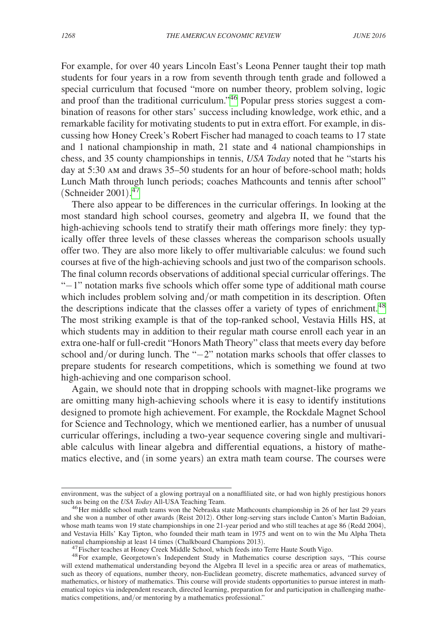For example, for over 40 years Lincoln East's Leona Penner taught their top math students for four years in a row from seventh through tenth grade and followed a special curriculum that focused "more on number theory, problem solving, logic and proof than the traditional curriculum.["46](#page-24-0) Popular press stories suggest a combination of reasons for other stars' success including knowledge, work ethic, and a remarkable facility for motivating students to put in extra effort. For example, in discussing how Honey Creek's Robert Fischer had managed to coach teams to 17 state and 1 national championship in math, 21 state and 4 national championships in chess, and 35 county championships in tennis, *USA Today* noted that he "starts his day at 5:30 am and draws 35–50 students for an hour of before-school math; holds Lunch Math through lunch periods; coaches Mathcounts and tennis after school" (Schneider 2001).<sup>[47](#page-24-1)</sup>

There also appear to be differences in the curricular offerings. In looking at the most standard high school courses, geometry and algebra II, we found that the high-achieving schools tend to stratify their math offerings more finely: they typically offer three levels of these classes whereas the comparison schools usually offer two. They are also more likely to offer multivariable calculus: we found such courses at five of the high-achieving schools and just two of the comparison schools. The final column records observations of additional special curricular offerings. The "−1" notation marks five schools which offer some type of additional math course which includes problem solving and/or math competition in its description. Often the descriptions indicate that the classes offer a variety of types of enrichment.<sup>48</sup> The most striking example is that of the top-ranked school, Vestavia Hills HS, at which students may in addition to their regular math course enroll each year in an extra one-half or full-credit "Honors Math Theory" class that meets every day before school and/or during lunch. The "−2" notation marks schools that offer classes to prepare students for research competitions, which is something we found at two high-achieving and one comparison school.

Again, we should note that in dropping schools with magnet-like programs we are omitting many high-achieving schools where it is easy to identify institutions designed to promote high achievement. For example, the Rockdale Magnet School for Science and Technology, which we mentioned earlier, has a number of unusual curricular offerings, including a two-year sequence covering single and multivariable calculus with linear algebra and differential equations, a history of mathematics elective, and (in some years) an extra math team course. The courses were

environment, was the subject of a glowing portrayal on a nonaffiliated site, or had won highly prestigious honors such as being on the USA Today All-USA Teaching Team.

<span id="page-24-0"></span><sup>&</sup>lt;sup>46</sup> Her middle school math teams won the Nebraska state Mathcounts championship in 26 of her last 29 years and she won a number of other awards (Reist 2012). Other long-serving stars include Canton's Martin Badoian, whose math teams won 19 state championships in one 21-year period and who still teaches at age 86 (Redd 2004), and Vestavia Hills' Kay Tipton, who founded their math team in 1975 and went on to win the Mu Alpha Theta national championship at least 14 times (Chalkboard Champions 2013).

<span id="page-24-2"></span><span id="page-24-1"></span> $^{47}$  Fischer teaches at Honey Creek Middle School, which feeds into Terre Haute South Vigo.<br> $^{48}$  For example, Georgetown's Independent Study in Mathematics course description says, "This course

will extend mathematical understanding beyond the Algebra II level in a specific area or areas of mathematics, such as theory of equations, number theory, non-Euclidean geometry, discrete mathematics, advanced survey of mathematics, or history of mathematics. This course will provide students opportunities to pursue interest in mathematical topics via independent research, directed learning, preparation for and participation in challenging mathematics competitions, and/or mentoring by a mathematics professional."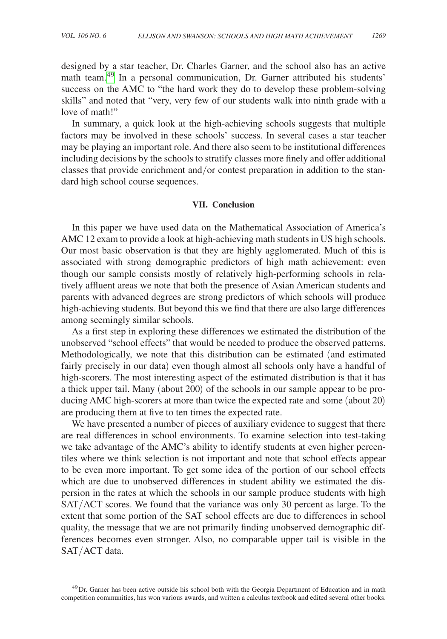designed by a star teacher, Dr. Charles Garner, and the school also has an active math team.<sup>[49](#page-25-0)</sup> In a personal communication, Dr. Garner attributed his students' success on the AMC to "the hard work they do to develop these problem-solving skills" and noted that "very, very few of our students walk into ninth grade with a love of math!"

In summary, a quick look at the high-achieving schools suggests that multiple factors may be involved in these schools' success. In several cases a star teacher may be playing an important role. And there also seem to be institutional differences including decisions by the schools to stratify classes more finely and offer additional classes that provide enrichment and/or contest preparation in addition to the standard high school course sequences.

#### **VII. Conclusion**

In this paper we have used data on the Mathematical Association of America's AMC 12 exam to provide a look at high-achieving math students in US high schools. Our most basic observation is that they are highly agglomerated. Much of this is associated with strong demographic predictors of high math achievement: even though our sample consists mostly of relatively high-performing schools in relatively affluent areas we note that both the presence of Asian American students and parents with advanced degrees are strong predictors of which schools will produce high-achieving students. But beyond this we find that there are also large differences among seemingly similar schools.

As a first step in exploring these differences we estimated the distribution of the unobserved "school effects" that would be needed to produce the observed patterns. Methodologically, we note that this distribution can be estimated (and estimated fairly precisely in our data) even though almost all schools only have a handful of high-scorers. The most interesting aspect of the estimated distribution is that it has a thick upper tail. Many (about 200) of the schools in our sample appear to be producing AMC high-scorers at more than twice the expected rate and some (about 20) are producing them at five to ten times the expected rate.

We have presented a number of pieces of auxiliary evidence to suggest that there are real differences in school environments. To examine selection into test-taking we take advantage of the AMC's ability to identify students at even higher percentiles where we think selection is not important and note that school effects appear to be even more important. To get some idea of the portion of our school effects which are due to unobserved differences in student ability we estimated the dispersion in the rates at which the schools in our sample produce students with high SAT/ACT scores. We found that the variance was only 30 percent as large. To the extent that some portion of the SAT school effects are due to differences in school quality, the message that we are not primarily finding unobserved demographic differences becomes even stronger. Also, no comparable upper tail is visible in the SAT/ACT data.

<span id="page-25-0"></span><sup>&</sup>lt;sup>49</sup>Dr. Garner has been active outside his school both with the Georgia Department of Education and in math competition communities, has won various awards, and written a calculus textbook and edited several other books.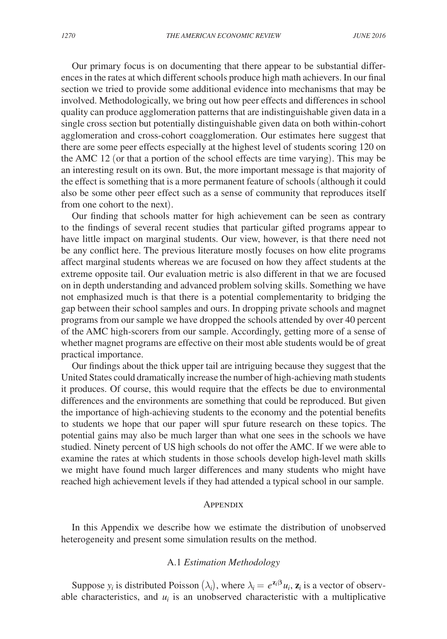Our primary focus is on documenting that there appear to be substantial differences in the rates at which different schools produce high math achievers. In our final section we tried to provide some additional evidence into mechanisms that may be involved. Methodologically, we bring out how peer effects and differences in school quality can produce agglomeration patterns that are indistinguishable given data in a single cross section but potentially distinguishable given data on both within-cohort agglomeration and cross-cohort coagglomeration. Our estimates here suggest that there are some peer effects especially at the highest level of students scoring 120 on the AMC 12 (or that a portion of the school effects are time varying). This may be an interesting result on its own. But, the more important message is that majority of the effect is something that is a more permanent feature of schools (although it could also be some other peer effect such as a sense of community that reproduces itself from one cohort to the next).

Our finding that schools matter for high achievement can be seen as contrary to the findings of several recent studies that particular gifted programs appear to have little impact on marginal students. Our view, however, is that there need not be any conflict here. The previous literature mostly focuses on how elite programs affect marginal students whereas we are focused on how they affect students at the extreme opposite tail. Our evaluation metric is also different in that we are focused on in depth understanding and advanced problem solving skills. Something we have not emphasized much is that there is a potential complementarity to bridging the gap between their school samples and ours. In dropping private schools and magnet programs from our sample we have dropped the schools attended by over 40 percent of the AMC high-scorers from our sample. Accordingly, getting more of a sense of whether magnet programs are effective on their most able students would be of great practical importance.

Our findings about the thick upper tail are intriguing because they suggest that the United States could dramatically increase the number of high-achieving math students it produces. Of course, this would require that the effects be due to environmental differences and the environments are something that could be reproduced. But given the importance of high-achieving students to the economy and the potential benefits to students we hope that our paper will spur future research on these topics. The potential gains may also be much larger than what one sees in the schools we have studied. Ninety percent of US high schools do not offer the AMC. If we were able to examine the rates at which students in those schools develop high-level math skills we might have found much larger differences and many students who might have reached high achievement levels if they had attended a typical school in our sample.

#### **APPENDIX**

In this Appendix we describe how we estimate the distribution of unobserved heterogeneity and present some simulation results on the method.

## A.1 *Estimation Methodology*

Suppose  $y_i$  is distributed Poisson  $(\lambda_i)$ , where  $\lambda_i = e^{\mathbf{z}_i \beta} u_i$ ,  $\mathbf{z}_i$  is a vector of observable characteristics, and  $u_i$  is an unobserved characteristic with a multiplicative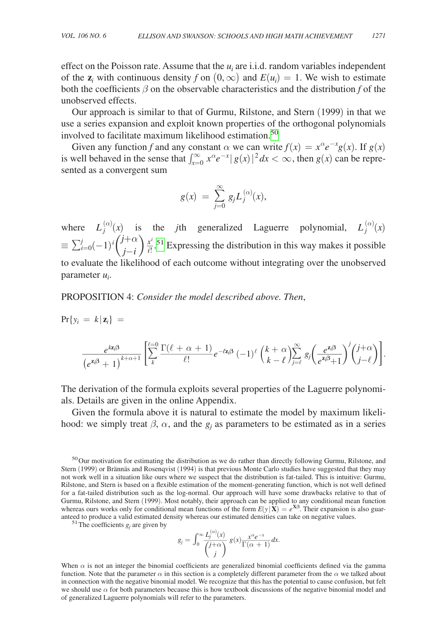effect on the Poisson rate. Assume that the  $u_i$  are i.i.d. random variables independent of the  $z_i$  with continuous density *f* on  $(0, \infty)$  and  $E(u_i) = 1$ . We wish to estimate both the coefficients  $\beta$  on the observable characteristics and the distribution f of the unobserved effects.

Our approach is similar to that of Gurmu, Rilstone, and Stern (1999) in that we use a series expansion and exploit known properties of the orthogonal polynomials involved to facilitate maximum likelihood estimation.[50](#page-27-0)

Given any function *f* and any constant  $\alpha$  we can write  $f(x) = x^{\alpha}e^{-x}g(x)$ . If  $g(x)$ is well behaved in the sense that  $\int_{x=0}^{\infty} x^{\alpha} e^{-x} |g(x)|^2 dx < \infty$ , then  $g(x)$  can be represented as a convergent sum

$$
g(x) ~=~ \sum_{j=0}^{\infty}g_jL_j^{(\alpha)}(x),
$$

where  $L_j^{(\alpha)}(x)$  is the *j*th generalized Laguerre polynomial,  $L_j^{(\alpha)}(x)$  $\equiv \sum_{i=0}^{j} (-1)^i \left( \frac{1}{2} \right)$ *j*+α  $\int_{i}^{+\infty}$  )  $\frac{x^{i}}{i!}$ .<sup>[51](#page-27-1)</sup> Expressing the distribution in this way makes it possible to evaluate the likelihood of each outcome without integrating over the unobserved parameter *ui* .

## Proposition 4: *Consider the model described above. Then*,

$$
\Pr\{y_i = k \mid \mathbf{z}_i\} = \frac{e^{kz_i\beta}}{\left(e^{\mathbf{z}_i\beta} + 1\right)^{k+\alpha+1}} \left[ \sum_{k}^{\ell=0} \frac{\Gamma(\ell+\alpha+1)}{\ell!} e^{-\ell z_i\beta} (-1)^{\ell} \left(\frac{k+\alpha}{k-\ell}\right) \sum_{j=\ell}^{\infty} g_j \left(\frac{e^{\mathbf{z}_i\beta}}{e^{\mathbf{z}_i\beta}+1}\right)^j \left(\frac{j+\alpha}{j-\ell}\right) \right].
$$

The derivation of the formula exploits several properties of the Laguerre polynomials. Details are given in the online Appendix.

Given the formula above it is natural to estimate the model by maximum likelihood: we simply treat  $\beta$ ,  $\alpha$ , and the  $g_j$  as parameters to be estimated as in a series

<span id="page-27-1"></span><sup>51</sup> The coefficients  $g_i$  are given by

$$
g_j = \int_0^\infty \frac{L_j^{(\alpha)}(x)}{\binom{j+\alpha}{j}} g(x) \frac{x^{\alpha} e^{-x}}{\Gamma(\alpha+1)} dx.
$$

When  $\alpha$  is not an integer the binomial coefficients are generalized binomial coefficients defined via the gamma function. Note that the parameter  $\alpha$  in this section is a completely different parameter from the  $\alpha$  we talked about in connection with the negative binomial model. We recognize that this has the potential to cause confusion, but felt we should use  $\alpha$  for both parameters because this is how textbook discussions of the negative binomial model and of generalized Laguerre polynomials will refer to the parameters.

<span id="page-27-0"></span><sup>&</sup>lt;sup>50</sup>Our motivation for estimating the distribution as we do rather than directly following Gurmu, Rilstone, and Stern (1999) or Brännäs and Rosenqvist (1994) is that previous Monte Carlo studies have suggested that they may not work well in a situation like ours where we suspect that the distribution is fat-tailed. This is intuitive: Gurmu, Rilstone, and Stern is based on a flexible estimation of the moment-generating function, which is not well defined for a fat-tailed distribution such as the log-normal. Our approach will have some drawbacks relative to that of Gurmu, Rilstone, and Stern (1999). Most notably, their approach can be applied to any conditional mean function whereas ours works only for conditional mean functions of the form  $E(y|\mathbf{X}) = e^{\mathbf{X}\beta}$ . Their expansion is also guaranteed to produce a valid estimated density whereas our estimated densities can take on negative values.<br>
<sup>51</sup>The coefficients *g<sub>j</sub>* are given by<br>  $g_j = \int_0^\infty \frac{L_j^{(\alpha)}(x)}{\binom{j+\alpha}{j}} g(x) \frac{x^{\alpha}e^{-x}}{\Gamma(\alpha+1)} dx$ .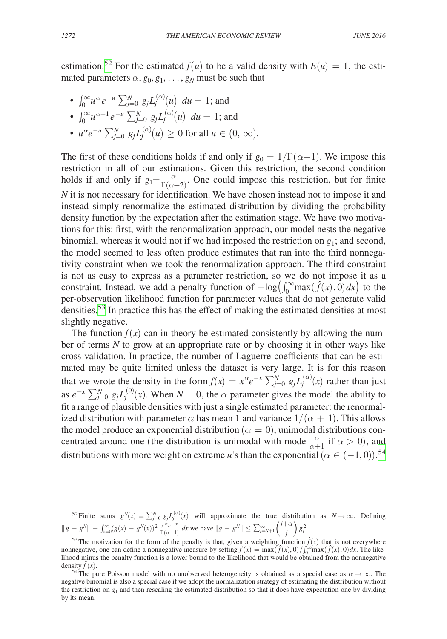estimation.<sup>[52](#page-28-0)</sup> For the estimated  $f(u)$  to be a valid density with  $E(u) = 1$ , the estimated parameters  $\alpha$ ,  $g_0$ ,  $g_1$ , ...,  $g_N$  must be such that

•  $\int_0^\infty u^\alpha e^{-u} \sum_{j=0}^N g_j L_j^{(\alpha)}(u) \ du = 1$ ; and •  $\int_0^\infty u^{\alpha+1} e^{-u} \sum_{j=0}^N g_j L_j^{(\alpha)}(u) \ du = 1$ ; and

• 
$$
u^{\alpha}e^{-u}\sum_{j=0}^{N}g_{j}L_{j}^{(\alpha)}(u)\geq 0
$$
 for all  $u \in (0, \infty)$ .

The first of these conditions holds if and only if  $g_0 = 1/\Gamma(\alpha+1)$ . We impose this restriction in all of our estimations. Given this restriction, the second condition The first of these conditions holds if and only if  $g_0 = 1/\Gamma(\alpha+1)$ . We impose this restriction in all of our estimations. Given this restriction, the second condition holds if and only if  $g_1 = \frac{\alpha}{\Gamma(\alpha+2)}$ . One could imp *N* it is not necessary for identification. We have chosen instead not to impose it and instead simply renormalize the estimated distribution by dividing the probability density function by the expectation after the estimation stage. We have two motivations for this: first, with the renormalization approach, our model nests the negative binomial, whereas it would not if we had imposed the restriction on  $g_1$ ; and second, the model seemed to less often produce estimates that ran into the third nonnegativity constraint when we took the renormalization approach. The third constraint is not as easy to express as a parameter restriction, so we do not impose it as a constraint. Instead, we add a penalty function of  $-\log(\int_0^\infty \max(\hat{f}(x), 0) dx)$  to the per-observation likelihood function for parameter values that do not generate valid densities.<sup>[53](#page-28-1)</sup> In practice this has the effect of making the estimated densities at most slightly negative.

The function  $f(x)$  can in theory be estimated consistently by allowing the number of terms *N* to grow at an appropriate rate or by choosing it in other ways like cross-validation. In practice, the number of Laguerre coefficients that can be estimated may be quite limited unless the dataset is very large. It is for this reason that we wrote the density in the form  $f(x) = x^{\alpha}e^{-x} \sum_{j=0}^{N} g_j L_j^{(\alpha)}(x)$  rather than just as  $e^{-x} \sum_{j=0}^{N} g_j L_j^{(0)}(x)$ . When  $N = 0$ , the  $\alpha$  parameter gives the model the ability to fit a range of plausible densities with just a single estimated parameter: the renormalized distribution with parameter  $\alpha$  has mean 1 and variance  $1/(\alpha + 1)$ . This allows the model produce an exponential distribution ( $\alpha = 0$ ), unimodal distributions conthe model produce an exponential distribution ( $\alpha = 0$ ), unimodal distributions concentrated around one (the distribution is unimodal with mode  $\frac{\alpha}{\alpha+1}$  if  $\alpha > 0$ ), and distributions with more weight on extreme *u*'s than the exponential  $(\alpha \in (-1,0))$ .<sup>[54](#page-28-2)</sup>

<span id="page-28-0"></span>52 Finite sums  $g^N(x) \equiv \sum_{j=0}^N g_j L_j^{(\alpha)}(x)$  will approximate the true distribution as  $N \to \infty$ . Defining  $||g - g^N|| \equiv \int_{x=0}^{\infty} (g(x) - g^N(x))^2 \frac{x^{\alpha} e^{-x}}{\Gamma(\alpha+1)} dx$  we have  $||g - g^N|| \le \sum_{j=N+1}^{\infty} \binom{j+\alpha}{j} g_j^2$ .

<span id="page-28-1"></span><sup>&</sup>lt;sup>53</sup>The motivation for the form of the penalty is that, given a weighting function  $\hat{f}(x)$  that is not everywhere nonnegative, one can define a nonnegative measure by setting  $\tilde{f}(x) = \max(\tilde{f}(x), 0) / \int_0^\infty \max(\hat{f}(x), 0) dx$ . The likelihood minus the penalty function is a lower bound to the likelihood that would be obtained from the nonnegative density  $f(x)$ .

<span id="page-28-2"></span><sup>&</sup>lt;sup>54</sup>The pure Poisson model with no unobserved heterogeneity is obtained as a special case as  $\alpha \to \infty$ . The negative binomial is also a special case if we adopt the normalization strategy of estimating the distribution without the restriction on  $g_1$  and then rescaling the estimated distribution so that it does have expectation one by dividing by its mean.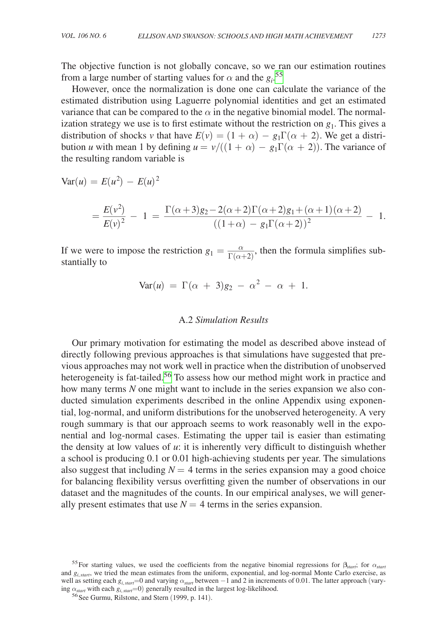The objective function is not globally concave, so we ran our estimation routines from a large number of starting values for  $\alpha$  and the  $g_i$ .<sup>[55](#page-29-0)</sup>

However, once the normalization is done one can calculate the variance of the estimated distribution using Laguerre polynomial identities and get an estimated variance that can be compared to the  $\alpha$  in the negative binomial model. The normalization strategy we use is to first estimate without the restriction on  $g_1$ . This gives a distribution of shocks *v* that have  $E(v) = (1 + \alpha) - g_1 \Gamma(\alpha + 2)$ . We get a distribution *u* with mean 1 by defining  $u = v/((1 + \alpha) - g_1 \Gamma(\alpha + 2))$ . The variance of the resulting random variable is

$$
\begin{aligned} \text{Var}(u) &= E(u^2) - E(u)^2 \\ &= \frac{E(v^2)}{E(v)^2} - 1 = \frac{\Gamma(\alpha+3)g_2 - 2(\alpha+2)\Gamma(\alpha+2)g_1 + (\alpha+1)(\alpha+2)}{((1+\alpha) - g_1\Gamma(\alpha+2))^2} - 1. \end{aligned}
$$

If we were to impose the restriction  $g_1 = \frac{\alpha}{\Gamma(\alpha+2)}$ , then the formula simplifies substantially to stantially to

$$
Var(u) = \Gamma(\alpha + 3)g_2 - \alpha^2 - \alpha + 1.
$$

#### A.2 *Simulation Results*

Our primary motivation for estimating the model as described above instead of directly following previous approaches is that simulations have suggested that previous approaches may not work well in practice when the distribution of unobserved heterogeneity is fat-tailed.<sup>[56](#page-29-1)</sup> To assess how our method might work in practice and how many terms *N* one might want to include in the series expansion we also conducted simulation experiments described in the online Appendix using exponential, log-normal, and uniform distributions for the unobserved heterogeneity. A very rough summary is that our approach seems to work reasonably well in the exponential and log-normal cases. Estimating the upper tail is easier than estimating the density at low values of *u*: it is inherently very difficult to distinguish whether a school is producing 0.1 or 0.01 high-achieving students per year. The simulations also suggest that including  $N = 4$  terms in the series expansion may a good choice for balancing flexibility versus overfitting given the number of observations in our dataset and the magnitudes of the counts. In our empirical analyses, we will generally present estimates that use  $N = 4$  terms in the series expansion.

<span id="page-29-0"></span><sup>&</sup>lt;sup>55</sup>For starting values, we used the coefficients from the negative binomial regressions for  $\beta_{\text{start}}$ ; for  $\alpha_{\text{start}}$ and *gi*,*start*, we tried the mean estimates from the uniform, exponential, and log-normal Monte Carlo exercise, as well as setting each  $g_{i,start}$ =0 and varying  $\alpha_{star}$  between  $-1$  and 2 in increments of 0.01. The latter approach (varying  $\alpha_{\text{start}}$  with each  $g_{i,\text{start}}=0$ ) generally resulted in the largest log-likelihood. <sup>56</sup> See Gurmu, Rilstone, and Stern (1999, p. 141).

<span id="page-29-1"></span>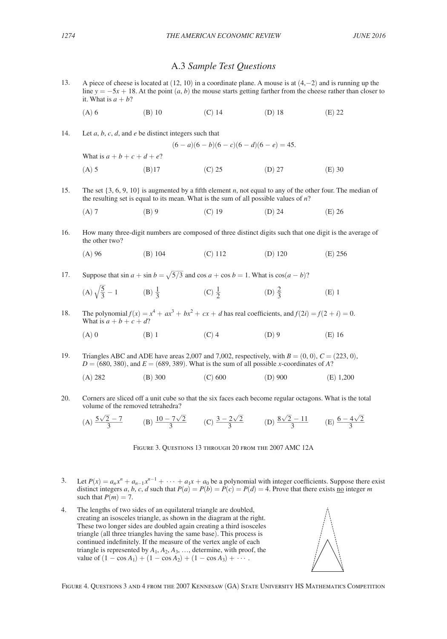## A.3 *Sample Test Questions*

<span id="page-30-0"></span>13. A piece of cheese is located at (12, 10) in a coordinate plane. A mouse is at (4,−2) and is running up the line  $y = -5x + 18$ . At the point  $(a, b)$  the mouse starts getting farther from the cheese rather than closer to it. What is  $a + b$ ?

 $(6 - a)(6 - b)(6 - c)(6 - d)(6 - e) = 45.$ 

(A) 6 (B) 10 (C) 14 (D) 18 (E) 22

14. Let *a*, *b*, *c*, *d*, and *e* be distinct integers such that

What is 
$$
a + b + c + d + e
$$
?  
\n(A) 5 (B) 17 (C) 25 (D) 27 (E) 30

15. The set {3, 6, 9, 10} is augmented by a fifth element *n*, not equal to any of the other four. The median of the resulting set is equal to its mean. What is the sum of all possible values of *n*?

(A) 7 (B) 9 (C) 19 (D) 24 (E) 26

16. How many three-digit numbers are composed of three distinct digits such that one digit is the average of the other two?

(A) 96 (B) 104 (C) 112 (D) 120 (E) 256

17. Suppose that  $\sin a + \sin b = \sqrt{5/3}$  and  $\cos a + \cos b = 1$ . What is  $\cos(a - b)$ ?

(A) 
$$
\sqrt{\frac{5}{3}} - 1
$$
 \t(B)  $\frac{1}{3}$  \t(C)  $\frac{1}{2}$  \t(D)  $\frac{2}{3}$  \t(E) 1

18. The polynomial  $f(x) = x^4 + ax^3 + bx^2 + cx + d$  has real coefficients, and  $f(2i) = f(2 + i) = 0$ . What is  $a + b + c + d$ ?

(A) 0 (B) 1 (C) 4 (D) 9 (E) 16

19. Triangles ABC and ADE have areas 2,007 and 7,002, respectively, with  $B = (0, 0)$ ,  $C = (223, 0)$ ,  $D = (680, 380)$ , and  $E = (689, 389)$ . What is the sum of all possible *x*-coordinates of *A*?

$$
(A) 282 \t\t (B) 300 \t\t (C) 600 \t\t (D) 900 \t\t (E) 1,200
$$

20. Corners are sliced off a unit cube so that the six faces each become regular octagons. What is the total volume of the removed tetrahedra?

(A) 
$$
\frac{5\sqrt{2}-7}{3}
$$
 (B)  $\frac{10-7\sqrt{2}}{3}$  (C)  $\frac{3-2\sqrt{2}}{3}$  (D)  $\frac{8\sqrt{2}-11}{3}$  (E)  $\frac{6-4\sqrt{2}}{3}$ 

Figure 3. Questions 13 through 20 from the 2007 AMC 12A

- 3. Let  $P(x) = a_n x^n + a_{n-1} x^{n-1} + \cdots + a_1 x + a_0$  be a polynomial with integer coefficients. Suppose there exist distinct integers *a*, *b*, *c*, *d* such that  $P(a) = P(b) = P(c) = P(d) = 4$ . Prove that there exists no integer *m* such that  $P(m) = 7$ .
- 4. The lengths of two sides of an equilateral triangle are doubled, creating an isosceles triangle, as shown in the diagram at the right. These two longer sides are doubled again creating a third isosceles triangle (all three triangles having the same base). This process is continued indefinitely. If the measure of the vertex angle of each triangle is represented by  $A_1$ ,  $A_2$ ,  $A_3$ , ..., determine, with proof, the value of  $(1 - \cos A_1) + (1 - \cos A_2) + (1 - \cos A_3) + \cdots$ .



Figure 4. Questions 3 and 4 from the 2007 Kennesaw (GA) State University HS Mathematics Competition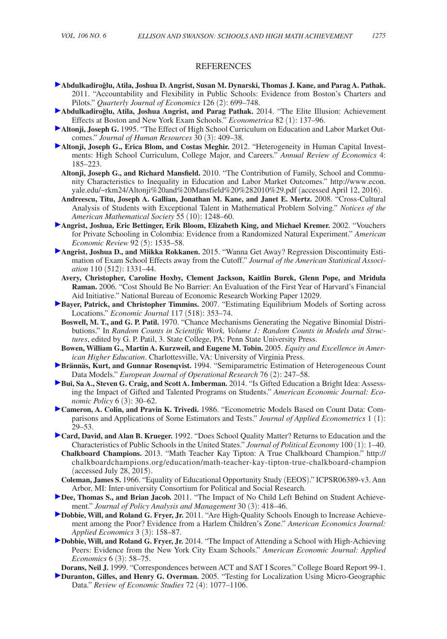#### **REFERENCES**

- **Abdulkadiro˘glu, Atila, Joshua D. Angrist, Susan M. Dynarski, Thomas J. Kane, and Parag A. Pathak.**  2011. "Accountability and Flexibility in Public Schools: Evidence from Boston's Charters and Pilots." *Quarterly Journal of Economics* 126 (2): 699–748.
- **Abdulkadiro˘glu, Atila, Joshua Angrist, and Parag Pathak.** 2014. "The Elite Illusion: Achievement Effects at Boston and New York Exam Schools." *Econometrica* 82 (1): 137–96.
- **Altonji, Joseph G.** 1995. "The Effect of High School Curriculum on Education and Labor Market Outcomes." *Journal of Human Resources* 30 (3): 409–38.
- **Altonji, Joseph G., Erica Blom, and Costas Meghir.** 2012. "Heterogeneity in Human Capital Investments: High School Curriculum, College Major, and Careers." *Annual Review of Economics* 4: 185–223.
	- **Altonji, Joseph G., and Richard Mansfield.** 2010. "The Contribution of Family, School and Commu[nity Characteristics to Inequality in Education and Labor Market Outcomes." http://www.econ.](http://www.econ.yale.edu/~rkm24/Altonji%20and%20Mansfield%20%282010%29.pdf) yale.edu/~rkm24/Altonji%20and%20Mansfield%20%282010%29.pdf (accessed April 12, 2016).
	- **Andreescu, Titu, Joseph A. Gallian, Jonathan M. Kane, and Janet E. Mertz.** 2008. "Cross-Cultural Analysis of Students with Exceptional Talent in Mathematical Problem Solving." *Notices of the American Mathematical Society* 55 (10): 1248–60.
- **Angrist, Joshua, Eric Bettinger, Erik Bloom, Elizabeth King, and Michael Kremer.** 2002. "Vouchers for Private Schooling in Colombia: Evidence from a Randomized Natural Experiment." *American Economic Review* 92 (5): 1535–58.
- **Angrist, Joshua D., and Miikka Rokkanen.** 2015. "Wanna Get Away? Regression Discontinuity Estimation of Exam School Effects away from the Cutoff." *Journal of the American Statistical Association* 110 (512): 1331–44.
	- **Avery, Christopher, Caroline Hoxby, Clement Jackson, Kaitlin Burek, Glenn Pope, and Mridula Raman.** 2006. "Cost Should Be No Barrier: An Evaluation of the First Year of Harvard's Financial Aid Initiative." National Bureau of Economic Research Working Paper 12029.
- **Bayer, Patrick, and Christopher Timmins.** 2007. "Estimating Equilibrium Models of Sorting across Locations." *Economic Journal* 117 (518): 353–74.
	- **Boswell, M. T., and G. P. Patil.** 1970. "Chance Mechanisms Generating the Negative Binomial Distributions." In *Random Counts in Scientific Work, Volume 1: Random Counts in Models and Structures*, edited by G. P. Patil, 3. State College, PA: Penn State University Press.
- **Bowen, William G., Martin A. Kurzweil, and Eugene M. Tobin.** 2005. *Equity and Excellence in American Higher Education*. Charlottesville, VA: University of Virginia Press.
- **Brännäs, Kurt, and Gunnar Rosenqvist.** 1994. "Semiparametric Estimation of Heterogeneous Count Data Models." *European Journal of Operational Research* 76 (2): 247–58.
- **Bui, Sa A., Steven G. Craig, and Scott A. Imberman.** 2014. "Is Gifted Education a Bright Idea: Assessing the Impact of Gifted and Talented Programs on Students." *American Economic Journal: Economic Policy* 6 (3): 30–62.
- **Cameron, A. Colin, and Pravin K. Trivedi.** 1986. "Econometric Models Based on Count Data: Comparisons and Applications of Some Estimators and Tests." *Journal of Applied Econometrics* 1 (1): 29–53.
- **Card, David, and Alan B. Krueger.** 1992. "Does School Quality Matter? Returns to Education and the Characteristics of Public Schools in the United States." *Journal of Political Economy* 100 (1): 1–40. **Chalkboard Champions.** 2013. "Math Teacher Kay Tipton: A True Chalkboard Champion." [http://](http://chalkboardchampions.org/education/math-teacher-kay-tipton-true-chalkboard-champion)
	- [chalkboardchampions.org/education/math-teacher-kay-tipton-true-chalkboard-champion](http://chalkboardchampions.org/education/math-teacher-kay-tipton-true-chalkboard-champion) (accessed July 28, 2015).
- **Coleman, James S.** 1966. "Equality of Educational Opportunity Study (EEOS)." ICPSR06389-v3. Ann Arbor, MI: Inter-university Consortium for Political and Social Research.
- **Dee, Thomas S., and Brian Jacob.** 2011. "The Impact of No Child Left Behind on Student Achievement." *Journal of Policy Analysis and Management* 30 (3): 418–46.
- **Dobbie, Will, and Roland G. Fryer, Jr.** 2011. "Are High-Quality Schools Enough to Increase Achievement among the Poor? Evidence from a Harlem Children's Zone." *American Economics Journal: Applied Economics* 3 (3): 158–87.
- **Dobbie, Will, and Roland G. Fryer, Jr.** 2014. "The Impact of Attending a School with High-Achieving Peers: Evidence from the New York City Exam Schools." *American Economic Journal: Applied Economics* 6 (3): 58–75.
- **Dorans, Neil J.** 1999. "Correspondences between ACT and SAT I Scores." College Board Report 99-1.
- **Duranton, Gilles, and Henry G. Overman.** 2005. "Testing for Localization Using Micro-Geographic Data." *Review of Economic Studies* 72 (4): 1077–1106.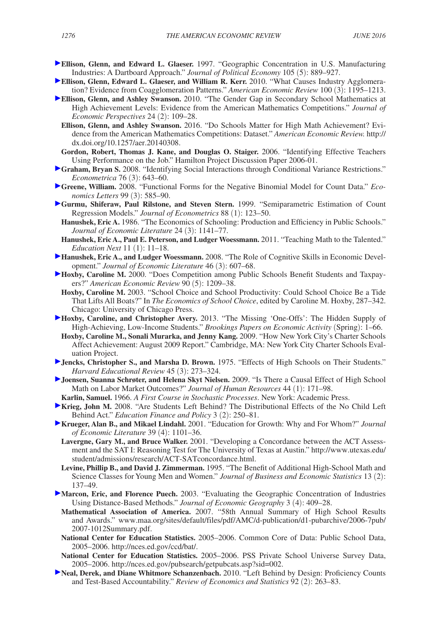- **Ellison, Glenn, and Edward L. Glaeser.** 1997. "Geographic Concentration in U.S. Manufacturing Industries: A Dartboard Approach." *Journal of Political Economy* 105 (5): 889–927.
- **Ellison, Glenn, Edward L. Glaeser, and William R. Kerr.** 2010. "What Causes Industry Agglomeration? Evidence from Coagglomeration Patterns." *American Economic Review* 100 (3): 1195–1213.
- **Ellison, Glenn, and Ashley Swanson.** 2010. "The Gender Gap in Secondary School Mathematics at High Achievement Levels: Evidence from the American Mathematics Competitions." *Journal of Economic Perspectives* 24 (2): 109–28.
	- **Ellison, Glenn, and Ashley Swanson.** 2016. "Do Schools Matter for High Math Achievement? Evidence from the American Mathematics Competitions: Dataset." *American Economic Review.* http:// dx.doi.org/10.1257/aer.20140308.
- **Gordon, Robert, Thomas J. Kane, and Douglas O. Staiger.** 2006. "Identifying Effective Teachers Using Performance on the Job." Hamilton Project Discussion Paper 2006-01.
- **Graham, Bryan S.** 2008. "Identifying Social Interactions through Conditional Variance Restrictions." *Econometrica* 76 (3): 643–60.
- **Greene, William.** 2008. "Functional Forms for the Negative Binomial Model for Count Data." *Economics Letters* 99 (3): 585–90.
- **Gurmu, Shiferaw, Paul Rilstone, and Steven Stern.** 1999. "Semiparametric Estimation of Count Regression Models." *Journal of Econometrics* 88 (1): 123–50.
- **Hanushek, Eric A.** 1986. "The Economics of Schooling: Production and Efficiency in Public Schools." *Journal of Economic Literature* 24 (3): 1141–77.
- **Hanushek, Eric A., Paul E. Peterson, and Ludger Woessmann.** 2011. "Teaching Math to the Talented." *Education Next* 11 (1): 11–18.
- **Hanushek, Eric A., and Ludger Woessmann.** 2008. "The Role of Cognitive Skills in Economic Development." *Journal of Economic Literature* 46 (3): 607–68.
- **Hoxby, Caroline M.** 2000. "Does Competition among Public Schools Benefit Students and Taxpayers?" *American Economic Review* 90 (5): 1209–38.
- **Hoxby, Caroline M.** 2003. "School Choice and School Productivity: Could School Choice Be a Tide That Lifts All Boats?" In *The Economics of School Choice*, edited by Caroline M. Hoxby, 287–342. Chicago: University of Chicago Press.
- **Hoxby, Caroline, and Christopher Avery.** 2013. "The Missing 'One-Offs': The Hidden Supply of High-Achieving, Low-Income Students." *Brookings Papers on Economic Activity* (Spring): 1–66.
- **Hoxby, Caroline M., Sonali Murarka, and Jenny Kang.** 2009. "How New York City's Charter Schools Affect Achievement: August 2009 Report." Cambridge, MA: New York City Charter Schools Evaluation Project.
- **Jencks, Christopher S., and Marsha D. Brown.** 1975. "Effects of High Schools on Their Students." *Harvard Educational Review* 45 (3): 273–324.
- **Joensen, Suanna Schrøter, and Helena Skyt Nielsen.** 2009. "Is There a Causal Effect of High School Math on Labor Market Outcomes?" *Journal of Human Resources* 44 (1): 171–98.
- **Karlin, Samuel.** 1966. *A First Course in Stochastic Processes*. New York: Academic Press.
- **Krieg, John M.** 2008. "Are Students Left Behind? The Distributional Effects of the No Child Left Behind Act." *Education Finance and Policy* 3 (2): 250–81.
- **Krueger, Alan B., and Mikael Lindahl.** 2001. "Education for Growth: Why and For Whom?" *Journal of Economic Literature* 39 (4): 1101–36.
	- **Lavergne, Gary M., and Bruce Walker.** 2001. "Developing a Concordance between the ACT Assess[ment and the SAT I: Reasoning Test for The University of Texas at Austin." http://www.utexas.edu/](http://www.utexas.edu/student/admissions/research/ACT-SATconcordance.html) student/admissions/research/ACT-SATconcordance.html.
	- **Levine, Phillip B., and David J. Zimmerman.** 1995. "The Benefit of Additional High-School Math and Science Classes for Young Men and Women." *Journal of Business and Economic Statistics* 13 (2): 137–49.
- **Marcon, Eric, and Florence Puech.** 2003. "Evaluating the Geographic Concentration of Industries Using Distance-Based Methods." *Journal of Economic Geography* 3 (4): 409–28.
	- **Mathematical Association of America.** 2007. "58th Annual Summary of High School Results [and Awards." www.maa.org/sites/default/files/pdf/AMC/d-publication/d1-pubarchive/2006-7pub/](www.maa.org/sites/default/files/pdf/AMC/d-publication/d1-pubarchive/2006-7pub/2007-1012Summary.pdf) 2007-1012Summary.pdf.
	- **National Center for Education Statistics.** 2005–2006. Common Core of Data: Public School Data, 2005–2006. http://nces.ed.gov/ccd/bat/.
	- **National Center for Education Statistics.** 2005–2006. PSS Private School Universe Survey Data, 2005–2006. <http://nces.ed.gov/pubsearch/getpubcats.asp?sid=002>.
- **Neal, Derek, and Diane Whitmore Schanzenbach.** 2010. "Left Behind by Design: Proficiency Counts and Test-Based Accountability." *Review of Economics and Statistics* 92 (2): 263–83.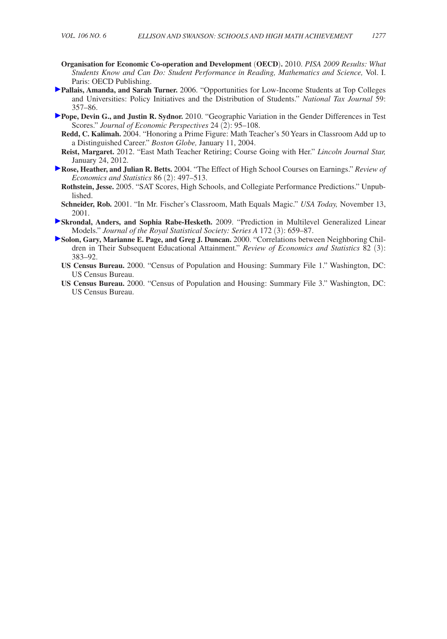- **Organisation for Economic Co-operation and Development** (**OECD**)**.** 2010. *PISA 2009 Results: What Students Know and Can Do: Student Performance in Reading, Mathematics and Science,* Vol. I. Paris: OECD Publishing.
- **Pallais, Amanda, and Sarah Turner.** 2006. "Opportunities for Low-Income Students at Top Colleges and Universities: Policy Initiatives and the Distribution of Students." *National Tax Journal* 59: 357–86.
- **Pope, Devin G., and Justin R. Sydnor.** 2010. "Geographic Variation in the Gender Differences in Test Scores." *Journal of Economic Perspectives* 24 (2): 95–108.
	- **Redd, C. Kalimah.** 2004. "Honoring a Prime Figure: Math Teacher's 50 Years in Classroom Add up to a Distinguished Career." *Boston Globe,* January 11, 2004.
	- **Reist, Margaret.** 2012. "East Math Teacher Retiring; Course Going with Her." *Lincoln Journal Star,*  January 24, 2012.
- **Rose, Heather, and Julian R. Betts.** 2004. "The Effect of High School Courses on Earnings." *Review of Economics and Statistics* 86 (2): 497–513.
	- **Rothstein, Jesse.** 2005. "SAT Scores, High Schools, and Collegiate Performance Predictions." Unpublished.
	- **Schneider, Rob.** 2001. "In Mr. Fischer's Classroom, Math Equals Magic." *USA Today,* November 13, 2001.
- **Skrondal, Anders, and Sophia Rabe-Hesketh.** 2009. "Prediction in Multilevel Generalized Linear Models." *Journal of the Royal Statistical Society: Series A* 172 (3): 659–87.
- **Solon, Gary, Marianne E. Page, and Greg J. Duncan.** 2000. "Correlations between Neighboring Children in Their Subsequent Educational Attainment." *Review of Economics and Statistics* 82 (3): 383–92.
	- **US Census Bureau.** 2000. "Census of Population and Housing: Summary File 1." Washington, DC: US Census Bureau.
	- **US Census Bureau.** 2000. "Census of Population and Housing: Summary File 3." Washington, DC: US Census Bureau.